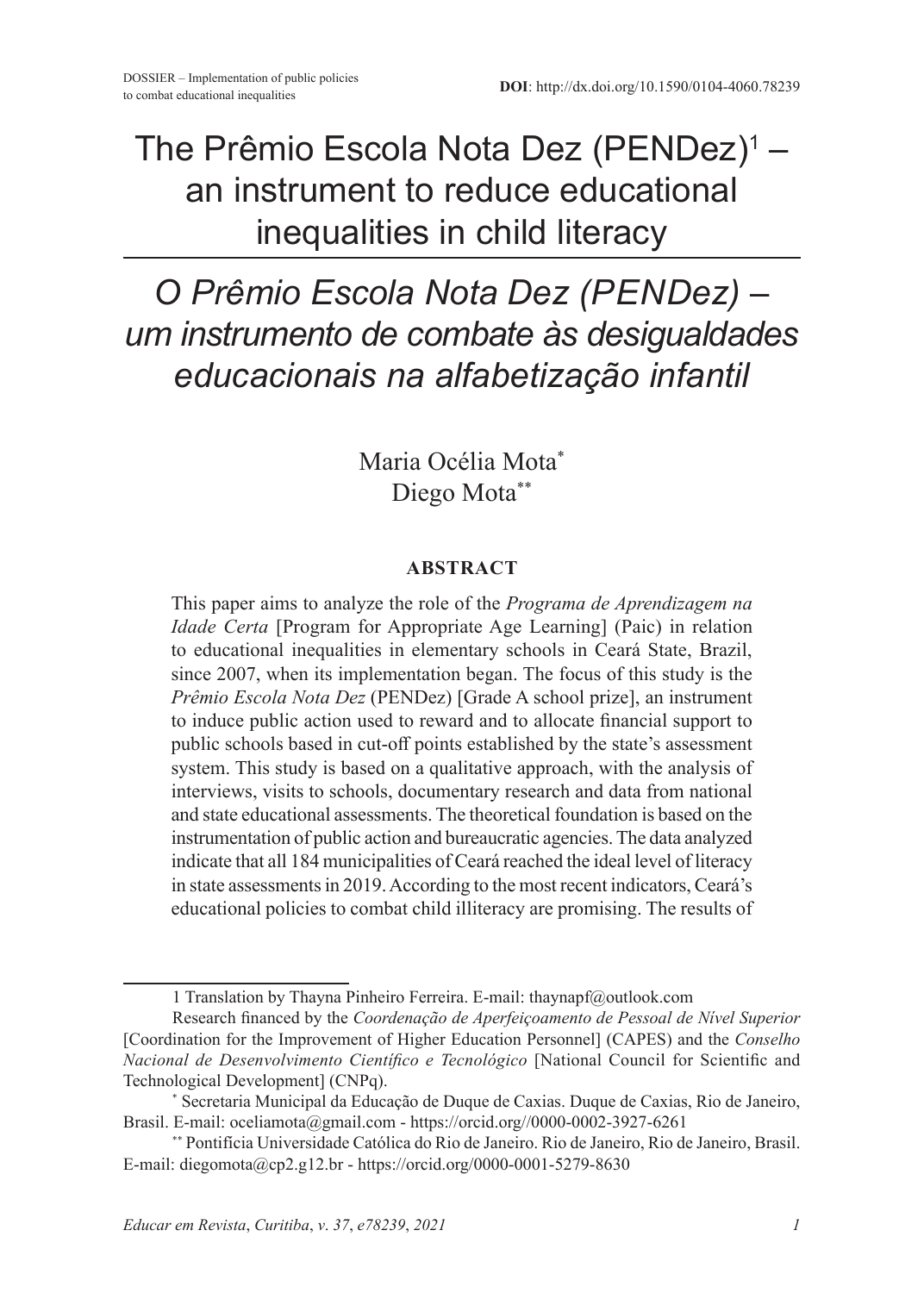## The Prêmio Escola Nota Dez (PENDez)<del>'</del> – an instrument to reduce educational inequalities in child literacy

# *O Prêmio Escola Nota Dez (PENDez) – um instrumento de combate às desigualdades educacionais na alfabetização infantil*

Maria Océlia Mota\* Diego Mota\*\*

#### **ABSTRACT**

This paper aims to analyze the role of the *Programa de Aprendizagem na Idade Certa* [Program for Appropriate Age Learning] (Paic) in relation to educational inequalities in elementary schools in Ceará State, Brazil, since 2007, when its implementation began. The focus of this study is the *Prêmio Escola Nota Dez* (PENDez) [Grade A school prize], an instrument to induce public action used to reward and to allocate financial support to public schools based in cut-off points established by the state's assessment system. This study is based on a qualitative approach, with the analysis of interviews, visits to schools, documentary research and data from national and state educational assessments. The theoretical foundation is based on the instrumentation of public action and bureaucratic agencies. The data analyzed indicate that all 184 municipalities of Ceará reached the ideal level of literacy in state assessments in 2019. According to the most recent indicators, Ceará's educational policies to combat child illiteracy are promising. The results of

<sup>1</sup> Translation by Thayna Pinheiro Ferreira. E-mail: thaynapf@outlook.com

Research financed by the *Coordenação de Aperfeiçoamento de Pessoal de Nível Superior* [Coordination for the Improvement of Higher Education Personnel] (CAPES) and the *Conselho Nacional de Desenvolvimento Científico e Tecnológico* [National Council for Scientific and Technological Development] (CNPq).

<sup>\*</sup> Secretaria Municipal da Educação de Duque de Caxias. Duque de Caxias, Rio de Janeiro, Brasil. E-mail: oceliamota@gmail.com - https://orcid.org//0000-0002-3927-6261

<sup>\*\*</sup> Pontifícia Universidade Católica do Rio de Janeiro. Rio de Janeiro, Rio de Janeiro, Brasil. E-mail: diegomota@cp2.g12.br - https://orcid.org/0000-0001-5279-8630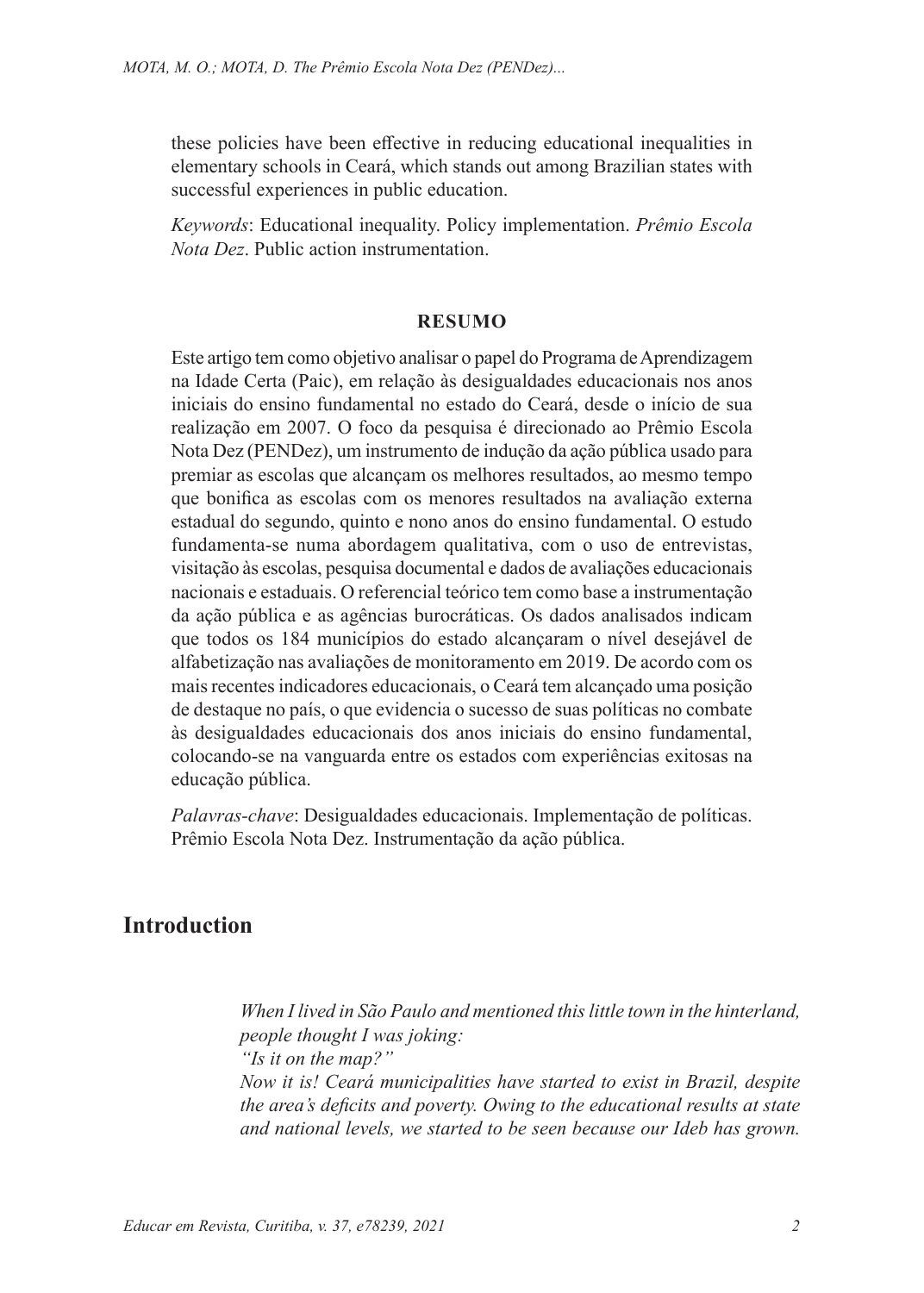these policies have been effective in reducing educational inequalities in elementary schools in Ceará, which stands out among Brazilian states with successful experiences in public education.

*Keywords*: Educational inequality. Policy implementation. *Prêmio Escola Nota Dez*. Public action instrumentation.

#### **RESUMO**

Este artigo tem como objetivo analisar o papel do Programa de Aprendizagem na Idade Certa (Paic), em relação às desigualdades educacionais nos anos iniciais do ensino fundamental no estado do Ceará, desde o início de sua realização em 2007. O foco da pesquisa é direcionado ao Prêmio Escola Nota Dez (PENDez), um instrumento de indução da ação pública usado para premiar as escolas que alcançam os melhores resultados, ao mesmo tempo que bonifica as escolas com os menores resultados na avaliação externa estadual do segundo, quinto e nono anos do ensino fundamental. O estudo fundamenta-se numa abordagem qualitativa, com o uso de entrevistas, visitação às escolas, pesquisa documental e dados de avaliações educacionais nacionais e estaduais. O referencial teórico tem como base a instrumentação da ação pública e as agências burocráticas. Os dados analisados indicam que todos os 184 municípios do estado alcançaram o nível desejável de alfabetização nas avaliações de monitoramento em 2019. De acordo com os mais recentes indicadores educacionais, o Ceará tem alcançado uma posição de destaque no país, o que evidencia o sucesso de suas políticas no combate às desigualdades educacionais dos anos iniciais do ensino fundamental, colocando-se na vanguarda entre os estados com experiências exitosas na educação pública.

*Palavras-chave*: Desigualdades educacionais. Implementação de políticas. Prêmio Escola Nota Dez. Instrumentação da ação pública.

### **Introduction**

*When I lived in São Paulo and mentioned this little town in the hinterland, people thought I was joking:*

*"Is it on the map?" Now it is! Ceará municipalities have started to exist in Brazil, despite the area's deficits and poverty. Owing to the educational results at state and national levels, we started to be seen because our Ideb has grown.*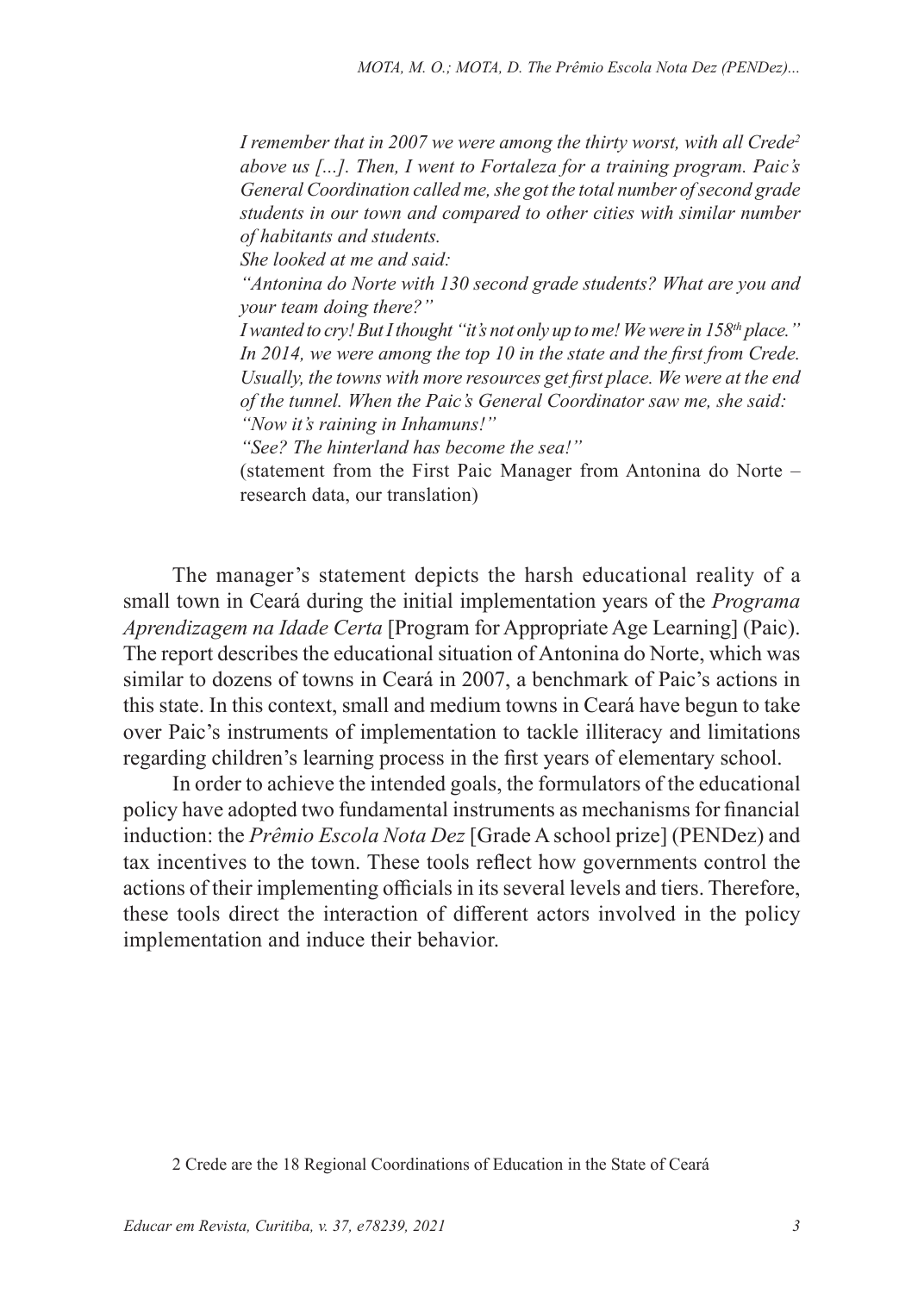*I remember that in 2007 we were among the thirty worst, with all Crede2 above us [...]. Then, I went to Fortaleza for a training program. Paic's General Coordination called me, she got the total number of second grade students in our town and compared to other cities with similar number of habitants and students.*

*She looked at me and said:* 

*"Antonina do Norte with 130 second grade students? What are you and your team doing there?"*

*I* wanted to cry! But I thought "it's not only up to me! We were in 158<sup>th</sup> place." *In 2014, we were among the top 10 in the state and the first from Crede. Usually, the towns with more resources get first place. We were at the end of the tunnel. When the Paic's General Coordinator saw me, she said: "Now it's raining in Inhamuns!"*

*"See? The hinterland has become the sea!"*

(statement from the First Paic Manager from Antonina do Norte – research data, our translation)

The manager's statement depicts the harsh educational reality of a small town in Ceará during the initial implementation years of the *Programa Aprendizagem na Idade Certa* [Program for Appropriate Age Learning] (Paic). The report describes the educational situation of Antonina do Norte, which was similar to dozens of towns in Ceará in 2007, a benchmark of Paic's actions in this state. In this context, small and medium towns in Ceará have begun to take over Paic's instruments of implementation to tackle illiteracy and limitations regarding children's learning process in the first years of elementary school.

In order to achieve the intended goals, the formulators of the educational policy have adopted two fundamental instruments as mechanisms for financial induction: the *Prêmio Escola Nota Dez* [Grade A school prize] (PENDez) and tax incentives to the town. These tools reflect how governments control the actions of their implementing officials in its several levels and tiers. Therefore, these tools direct the interaction of different actors involved in the policy implementation and induce their behavior.

<sup>2</sup> Crede are the 18 Regional Coordinations of Education in the State of Ceará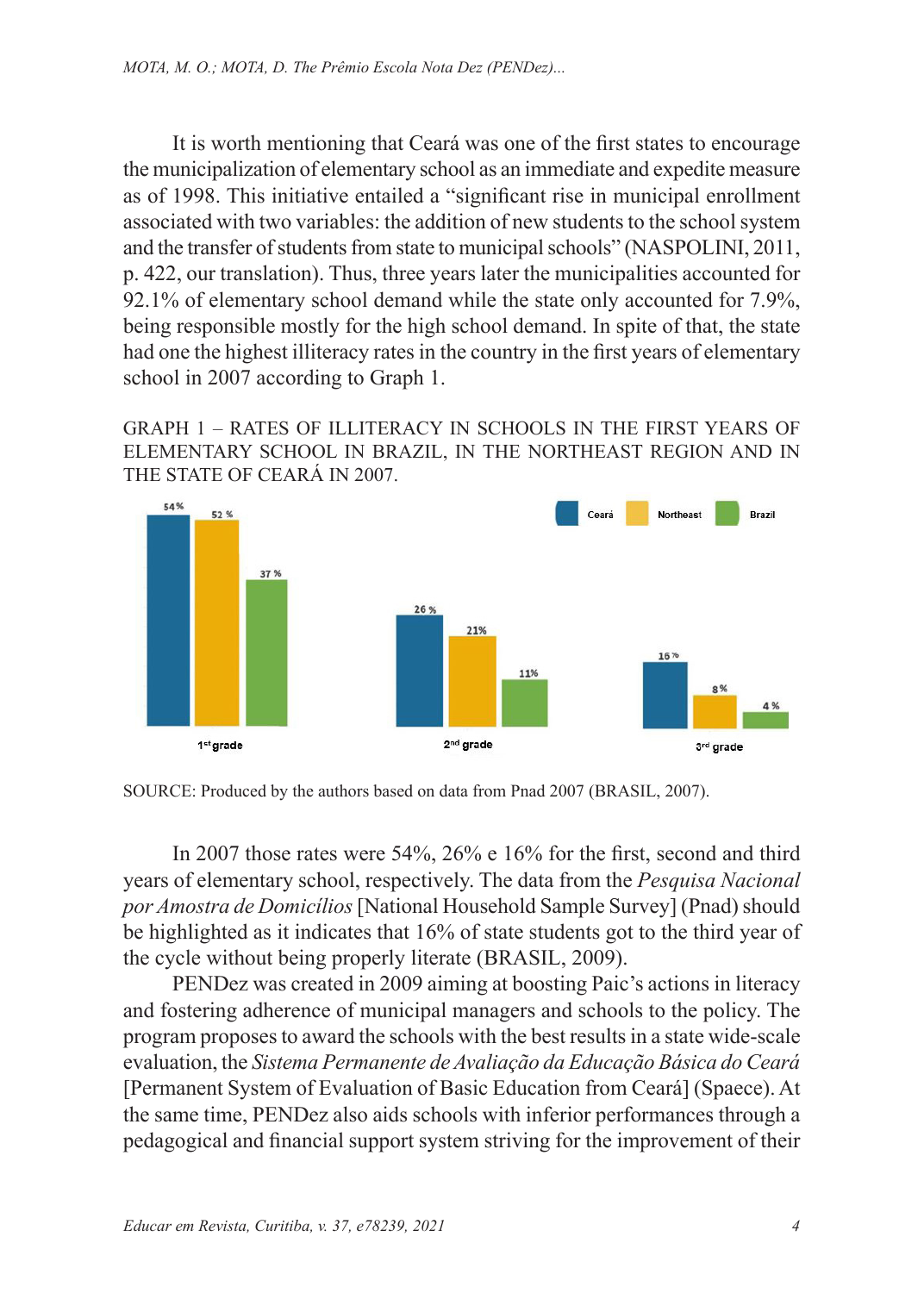It is worth mentioning that Ceará was one of the first states to encourage the municipalization of elementary school as an immediate and expedite measure as of 1998. This initiative entailed a "significant rise in municipal enrollment associated with two variables: the addition of new students to the school system and the transfer of students from state to municipal schools" (NASPOLINI, 2011, p. 422, our translation). Thus, three years later the municipalities accounted for 92.1% of elementary school demand while the state only accounted for 7.9%, being responsible mostly for the high school demand. In spite of that, the state had one the highest illiteracy rates in the country in the first years of elementary school in 2007 according to Graph 1.

GRAPH 1 – RATES OF ILLITERACY IN SCHOOLS IN THE FIRST YEARS OF ELEMENTARY SCHOOL IN BRAZIL, IN THE NORTHEAST REGION AND IN THE STATE OF CEARÁ IN 2007.



SOURCE: Produced by the authors based on data from Pnad 2007 (BRASIL, 2007).

In 2007 those rates were 54%, 26% e 16% for the first, second and third years of elementary school, respectively. The data from the *Pesquisa Nacional por Amostra de Domicílios* [National Household Sample Survey] (Pnad) should be highlighted as it indicates that 16% of state students got to the third year of the cycle without being properly literate (BRASIL, 2009).

PENDez was created in 2009 aiming at boosting Paic's actions in literacy and fostering adherence of municipal managers and schools to the policy. The program proposes to award the schools with the best results in a state wide-scale evaluation, the *Sistema Permanente de Avaliação da Educação Básica do Ceará*  [Permanent System of Evaluation of Basic Education from Ceará] (Spaece). At the same time, PENDez also aids schools with inferior performances through a pedagogical and financial support system striving for the improvement of their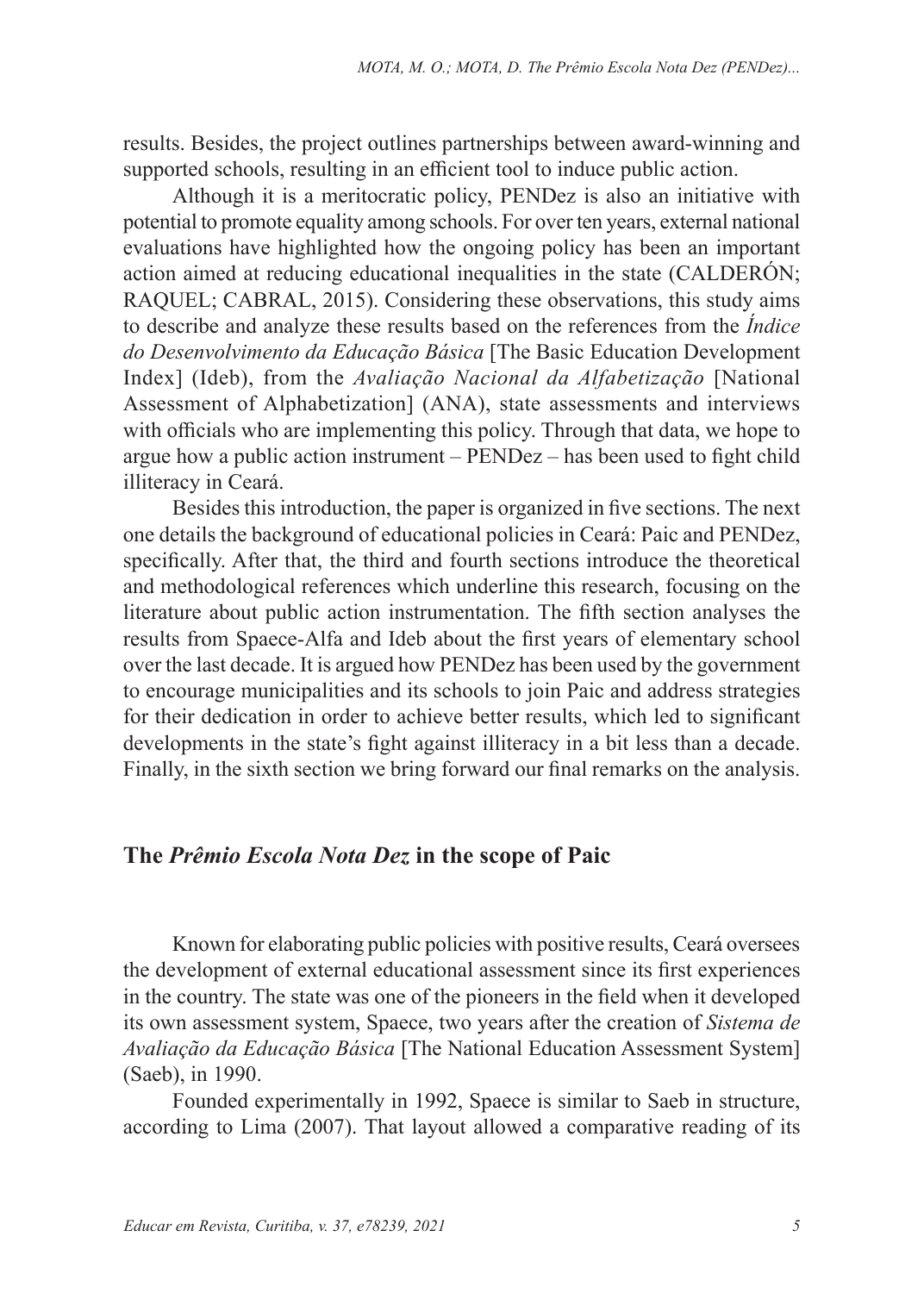results. Besides, the project outlines partnerships between award-winning and supported schools, resulting in an efficient tool to induce public action.

Although it is a meritocratic policy, PENDez is also an initiative with potential to promote equality among schools. For over ten years, external national evaluations have highlighted how the ongoing policy has been an important action aimed at reducing educational inequalities in the state (CALDERÓN; RAQUEL; CABRAL, 2015). Considering these observations, this study aims to describe and analyze these results based on the references from the *Índice do Desenvolvimento da Educação Básica* [The Basic Education Development Index] (Ideb), from the *Avaliação Nacional da Alfabetização* [National Assessment of Alphabetization] (ANA), state assessments and interviews with officials who are implementing this policy. Through that data, we hope to argue how a public action instrument – PENDez – has been used to fight child illiteracy in Ceará.

Besides this introduction, the paper is organized in five sections. The next one details the background of educational policies in Ceará: Paic and PENDez, specifically. After that, the third and fourth sections introduce the theoretical and methodological references which underline this research, focusing on the literature about public action instrumentation. The fifth section analyses the results from Spaece-Alfa and Ideb about the first years of elementary school over the last decade. It is argued how PENDez has been used by the government to encourage municipalities and its schools to join Paic and address strategies for their dedication in order to achieve better results, which led to significant developments in the state's fight against illiteracy in a bit less than a decade. Finally, in the sixth section we bring forward our final remarks on the analysis.

#### **The** *Prêmio Escola Nota Dez* **in the scope of Paic**

Known for elaborating public policies with positive results, Ceará oversees the development of external educational assessment since its first experiences in the country. The state was one of the pioneers in the field when it developed its own assessment system, Spaece, two years after the creation of *Sistema de Avaliação da Educação Básica* [The National Education Assessment System] (Saeb), in 1990.

Founded experimentally in 1992, Spaece is similar to Saeb in structure, according to Lima (2007). That layout allowed a comparative reading of its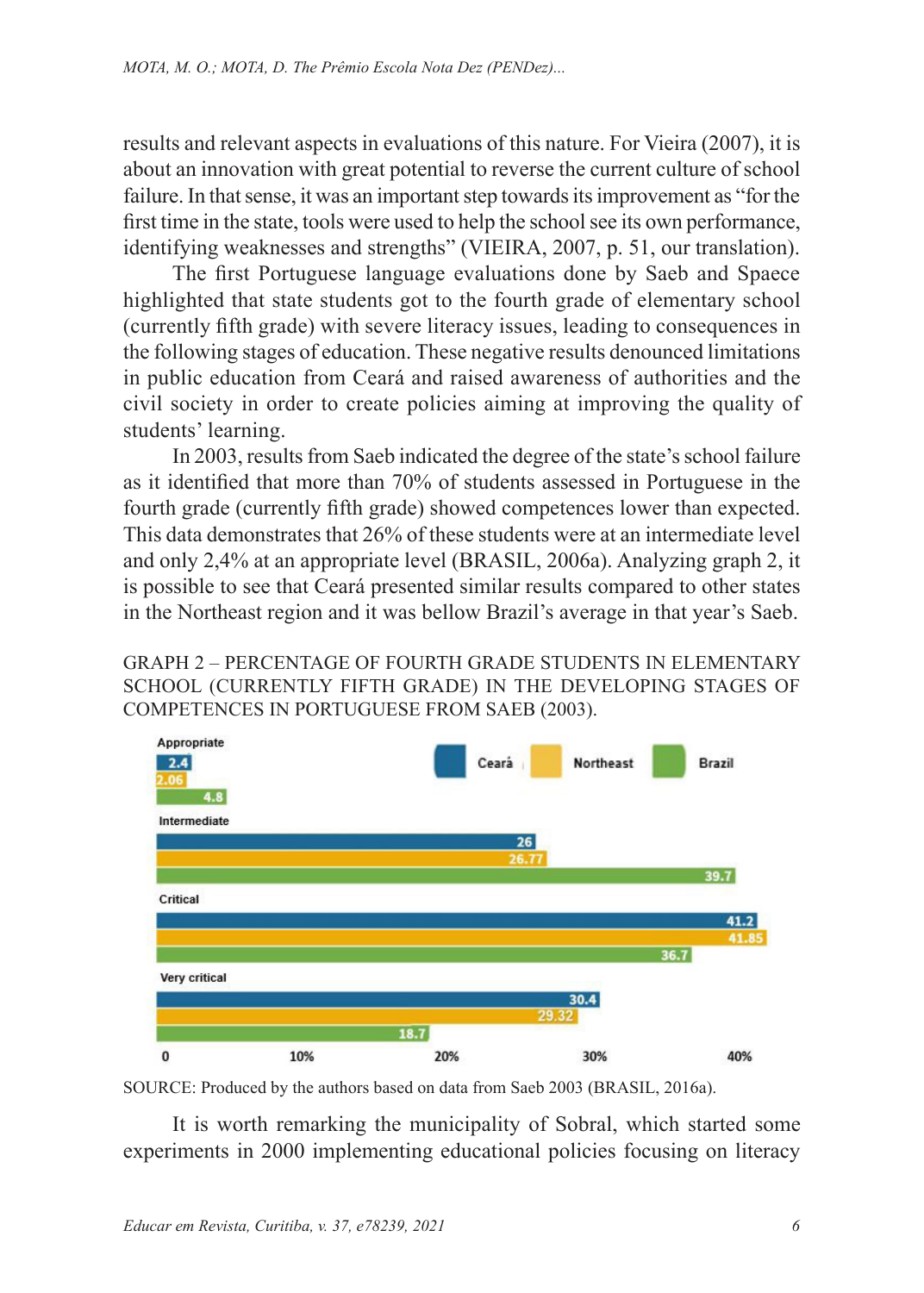results and relevant aspects in evaluations of this nature. For Vieira (2007), it is about an innovation with great potential to reverse the current culture of school failure. In that sense, it was an important step towards its improvement as "for the first time in the state, tools were used to help the school see its own performance, identifying weaknesses and strengths" (VIEIRA, 2007, p. 51, our translation).

The first Portuguese language evaluations done by Saeb and Spaece highlighted that state students got to the fourth grade of elementary school (currently fifth grade) with severe literacy issues, leading to consequences in the following stages of education. These negative results denounced limitations in public education from Ceará and raised awareness of authorities and the civil society in order to create policies aiming at improving the quality of students' learning.

In 2003, results from Saeb indicated the degree of the state's school failure as it identified that more than 70% of students assessed in Portuguese in the fourth grade (currently fifth grade) showed competences lower than expected. This data demonstrates that 26% of these students were at an intermediate level and only 2,4% at an appropriate level (BRASIL, 2006a). Analyzing graph 2, it is possible to see that Ceará presented similar results compared to other states in the Northeast region and it was bellow Brazil's average in that year's Saeb.

GRAPH 2 – PERCENTAGE OF FOURTH GRADE STUDENTS IN ELEMENTARY SCHOOL (CURRENTLY FIFTH GRADE) IN THE DEVELOPING STAGES OF COMPETENCES IN PORTUGUESE FROM SAEB (2003).



SOURCE: Produced by the authors based on data from Saeb 2003 (BRASIL, 2016a).

It is worth remarking the municipality of Sobral, which started some experiments in 2000 implementing educational policies focusing on literacy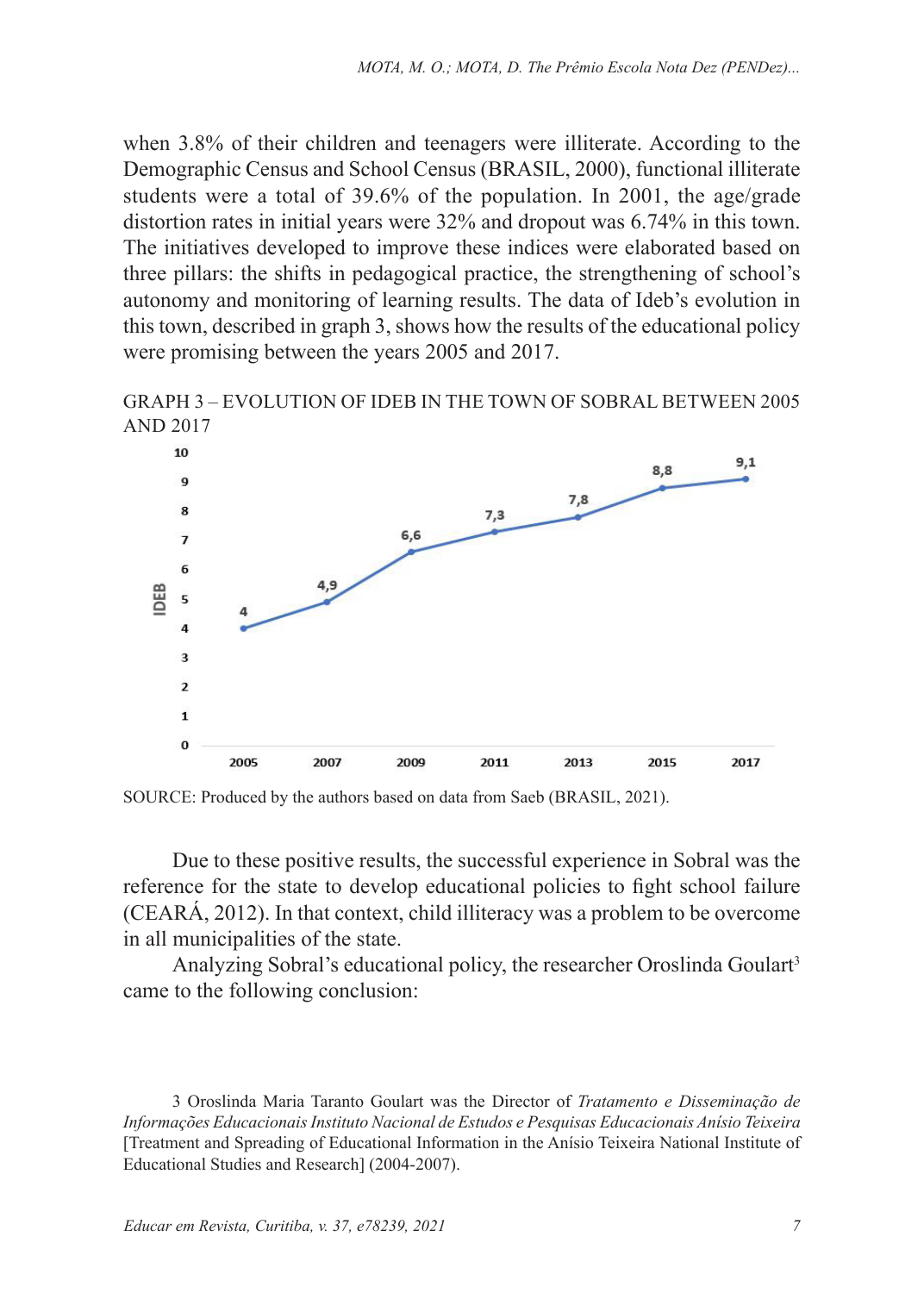when 3.8% of their children and teenagers were illiterate. According to the Demographic Census and School Census (BRASIL, 2000), functional illiterate students were a total of 39.6% of the population. In 2001, the age/grade distortion rates in initial years were 32% and dropout was 6.74% in this town. The initiatives developed to improve these indices were elaborated based on three pillars: the shifts in pedagogical practice, the strengthening of school's autonomy and monitoring of learning results. The data of Ideb's evolution in this town, described in graph 3, shows how the results of the educational policy were promising between the years 2005 and 2017.



GRAPH 3 – EVOLUTION OF IDEB IN THE TOWN OF SOBRAL BETWEEN 2005

2009 SOURCE: Produced by the authors based on data from Saeb (BRASIL, 2021).

Due to these positive results, the successful experience in Sobral was the reference for the state to develop educational policies to fight school failure (CEARÁ, 2012). In that context, child illiteracy was a problem to be overcome in all municipalities of the state.

2011

2013

2015

2017

Analyzing Sobral's educational policy, the researcher Oroslinda Goulart<sup>3</sup> came to the following conclusion:

3 Oroslinda Maria Taranto Goulart was the Director of *Tratamento e Disseminação de Informações Educacionais Instituto Nacional de Estudos e Pesquisas Educacionais Anísio Teixeira* [Treatment and Spreading of Educational Information in the Anísio Teixeira National Institute of Educational Studies and Research] (2004-2007).

ą  $\overline{ }$ 

 $\overline{a}$ 

2005

2007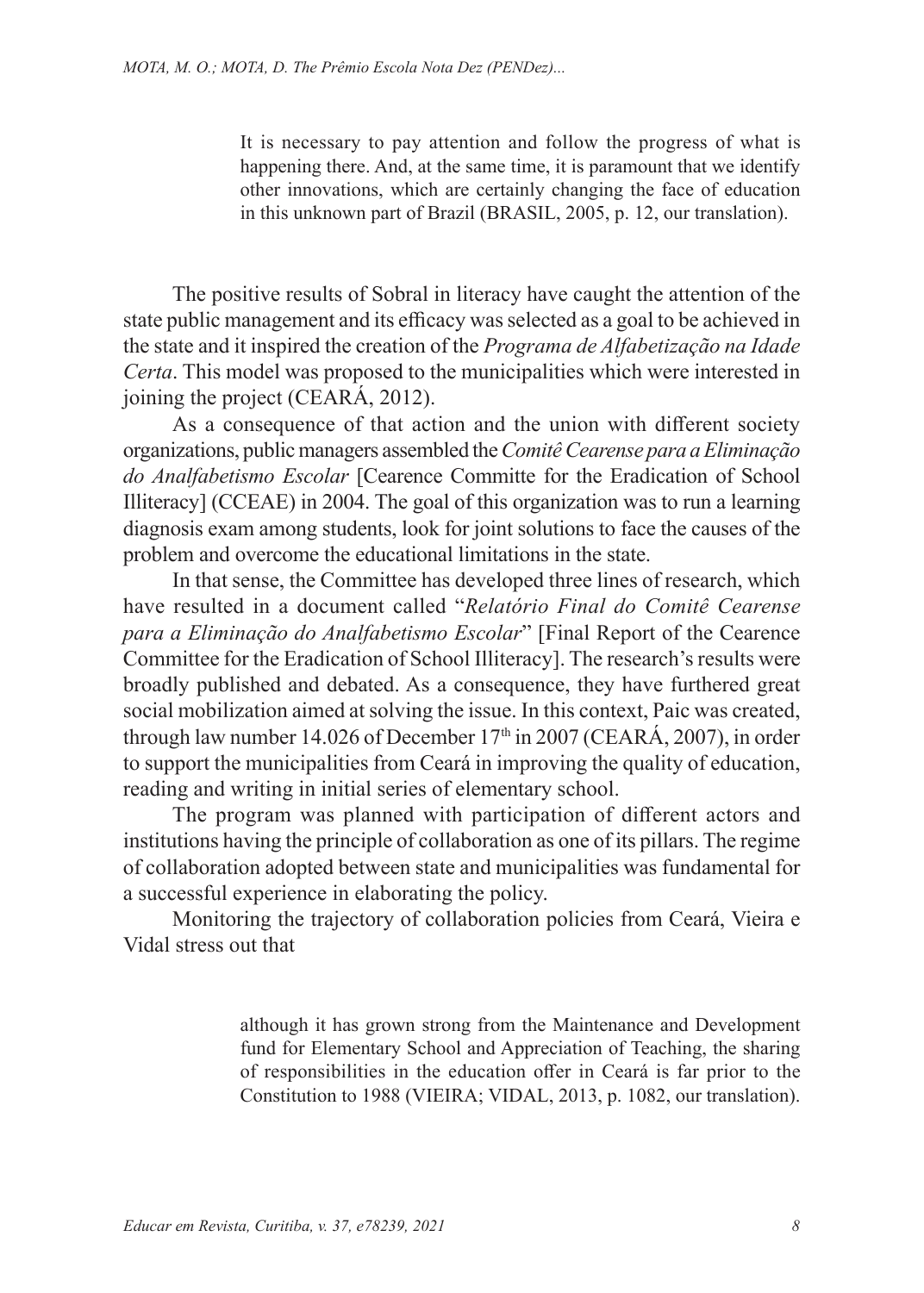It is necessary to pay attention and follow the progress of what is happening there. And, at the same time, it is paramount that we identify other innovations, which are certainly changing the face of education in this unknown part of Brazil (BRASIL, 2005, p. 12, our translation).

The positive results of Sobral in literacy have caught the attention of the state public management and its efficacy was selected as a goal to be achieved in the state and it inspired the creation of the *Programa de Alfabetização na Idade Certa*. This model was proposed to the municipalities which were interested in joining the project (CEARÁ, 2012).

As a consequence of that action and the union with different society organizations, public managers assembled the *Comitê Cearense para a Eliminação do Analfabetismo Escolar* [Cearence Committe for the Eradication of School Illiteracy] (CCEAE) in 2004. The goal of this organization was to run a learning diagnosis exam among students, look for joint solutions to face the causes of the problem and overcome the educational limitations in the state.

In that sense, the Committee has developed three lines of research, which have resulted in a document called "*Relatório Final do Comitê Cearense para a Eliminação do Analfabetismo Escolar*" [Final Report of the Cearence Committee for the Eradication of School Illiteracy]. The research's results were broadly published and debated. As a consequence, they have furthered great social mobilization aimed at solving the issue. In this context, Paic was created, through law number 14.026 of December  $17<sup>th</sup>$  in 2007 (CEARÁ, 2007), in order to support the municipalities from Ceará in improving the quality of education, reading and writing in initial series of elementary school.

The program was planned with participation of different actors and institutions having the principle of collaboration as one of its pillars. The regime of collaboration adopted between state and municipalities was fundamental for a successful experience in elaborating the policy.

Monitoring the trajectory of collaboration policies from Ceará, Vieira e Vidal stress out that

> although it has grown strong from the Maintenance and Development fund for Elementary School and Appreciation of Teaching, the sharing of responsibilities in the education offer in Ceará is far prior to the Constitution to 1988 (VIEIRA; VIDAL, 2013, p. 1082, our translation).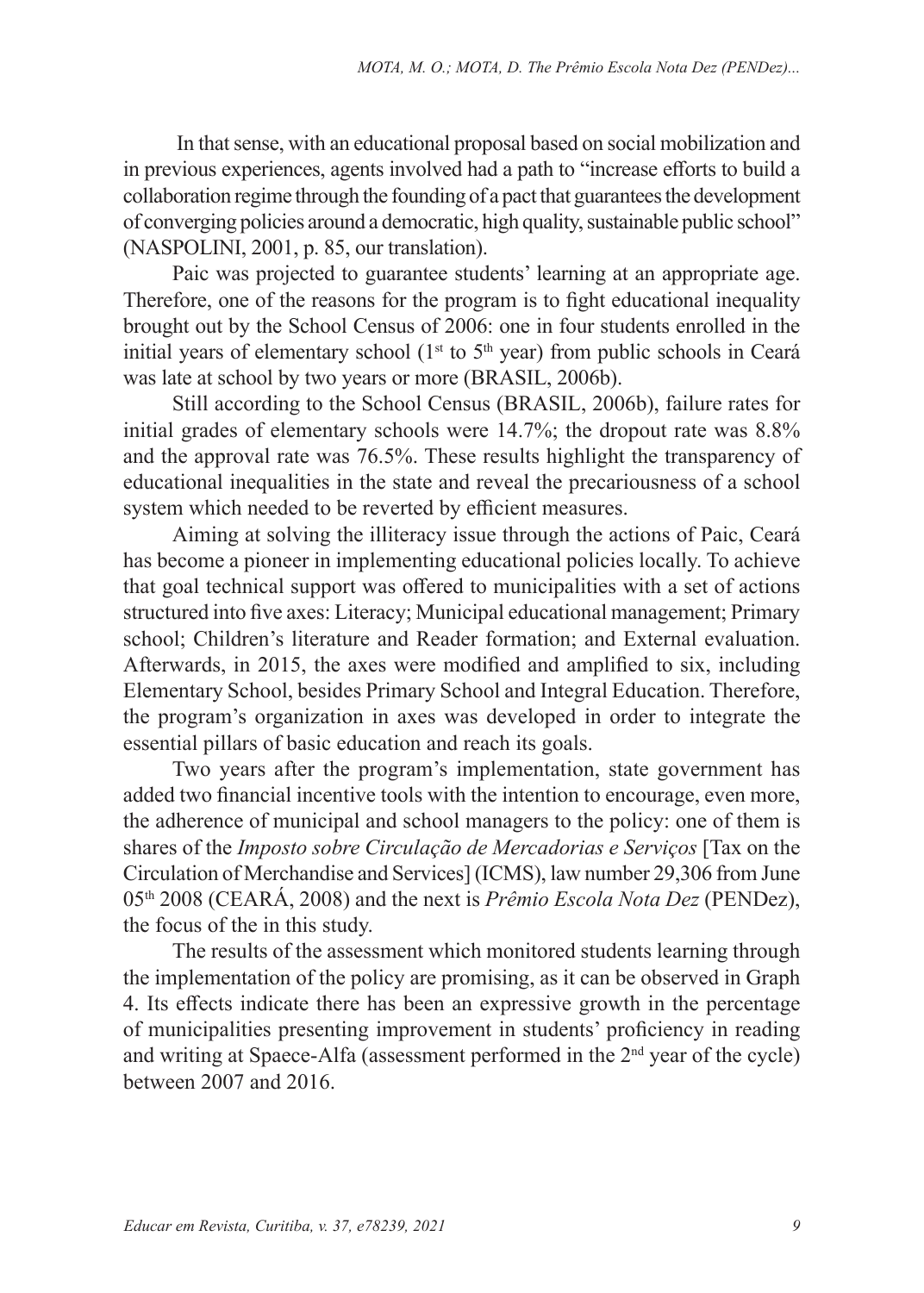In that sense, with an educational proposal based on social mobilization and in previous experiences, agents involved had a path to "increase efforts to build a collaboration regime through the founding of a pact that guarantees the development of converging policies around a democratic, high quality, sustainable public school" (NASPOLINI, 2001, p. 85, our translation).

Paic was projected to guarantee students' learning at an appropriate age. Therefore, one of the reasons for the program is to fight educational inequality brought out by the School Census of 2006: one in four students enrolled in the initial years of elementary school ( $1<sup>st</sup>$  to  $5<sup>th</sup>$  year) from public schools in Ceará was late at school by two years or more (BRASIL, 2006b).

Still according to the School Census (BRASIL, 2006b), failure rates for initial grades of elementary schools were 14.7%; the dropout rate was 8.8% and the approval rate was 76.5%. These results highlight the transparency of educational inequalities in the state and reveal the precariousness of a school system which needed to be reverted by efficient measures.

Aiming at solving the illiteracy issue through the actions of Paic, Ceará has become a pioneer in implementing educational policies locally. To achieve that goal technical support was offered to municipalities with a set of actions structured into five axes: Literacy; Municipal educational management; Primary school; Children's literature and Reader formation; and External evaluation. Afterwards, in 2015, the axes were modified and amplified to six, including Elementary School, besides Primary School and Integral Education. Therefore, the program's organization in axes was developed in order to integrate the essential pillars of basic education and reach its goals.

Two years after the program's implementation, state government has added two financial incentive tools with the intention to encourage, even more, the adherence of municipal and school managers to the policy: one of them is shares of the *Imposto sobre Circulação de Mercadorias e Serviços* [Tax on the Circulation of Merchandise and Services] (ICMS), law number 29,306 from June 05th 2008 (CEARÁ, 2008) and the next is *Prêmio Escola Nota Dez* (PENDez), the focus of the in this study.

The results of the assessment which monitored students learning through the implementation of the policy are promising, as it can be observed in Graph 4. Its effects indicate there has been an expressive growth in the percentage of municipalities presenting improvement in students' proficiency in reading and writing at Spaece-Alfa (assessment performed in the 2<sup>nd</sup> year of the cycle) between 2007 and 2016.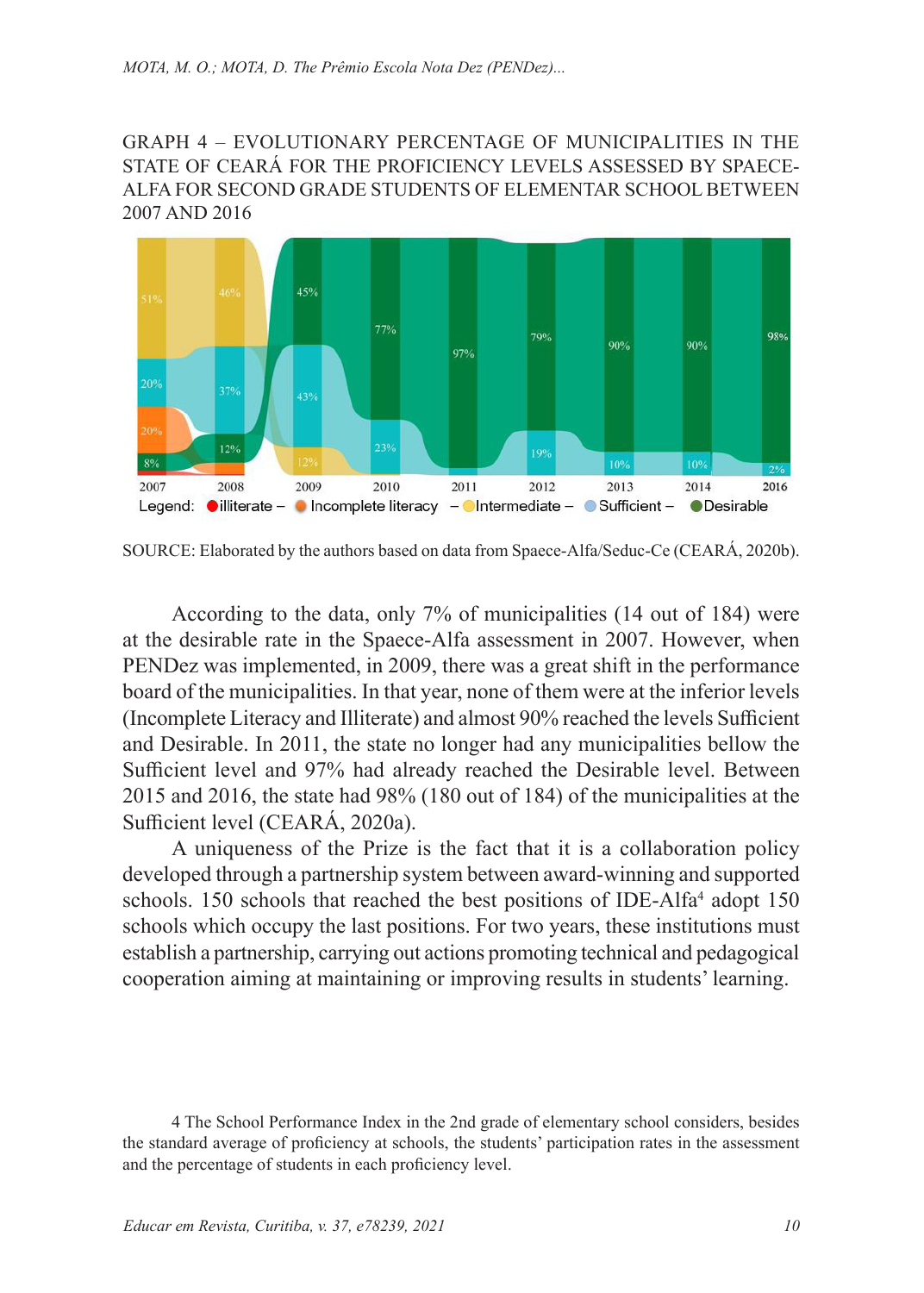GRAPH 4 – EVOLUTIONARY PERCENTAGE OF MUNICIPALITIES IN THE STATE OF CEARÁ FOR THE PROFICIENCY LEVELS ASSESSED BY SPAECE-ALFA FOR SECOND GRADE STUDENTS OF ELEMENTAR SCHOOL BETWEEN 2007 AND 2016



SOURCE: Elaborated by the authors based on data from Spaece-Alfa/Seduc-Ce (CEARÁ, 2020b).

According to the data, only 7% of municipalities (14 out of 184) were at the desirable rate in the Spaece-Alfa assessment in 2007. However, when PENDez was implemented, in 2009, there was a great shift in the performance board of the municipalities. In that year, none of them were at the inferior levels (Incomplete Literacy and Illiterate) and almost 90% reached the levels Sufficient and Desirable. In 2011, the state no longer had any municipalities bellow the Sufficient level and 97% had already reached the Desirable level. Between 2015 and 2016, the state had 98% (180 out of 184) of the municipalities at the Sufficient level (CEARÁ, 2020a).

A uniqueness of the Prize is the fact that it is a collaboration policy developed through a partnership system between award-winning and supported schools. 150 schools that reached the best positions of IDE-Alfa<sup>4</sup> adopt 150 schools which occupy the last positions. For two years, these institutions must establish a partnership, carrying out actions promoting technical and pedagogical cooperation aiming at maintaining or improving results in students' learning.

<sup>4</sup> The School Performance Index in the 2nd grade of elementary school considers, besides the standard average of proficiency at schools, the students' participation rates in the assessment and the percentage of students in each proficiency level.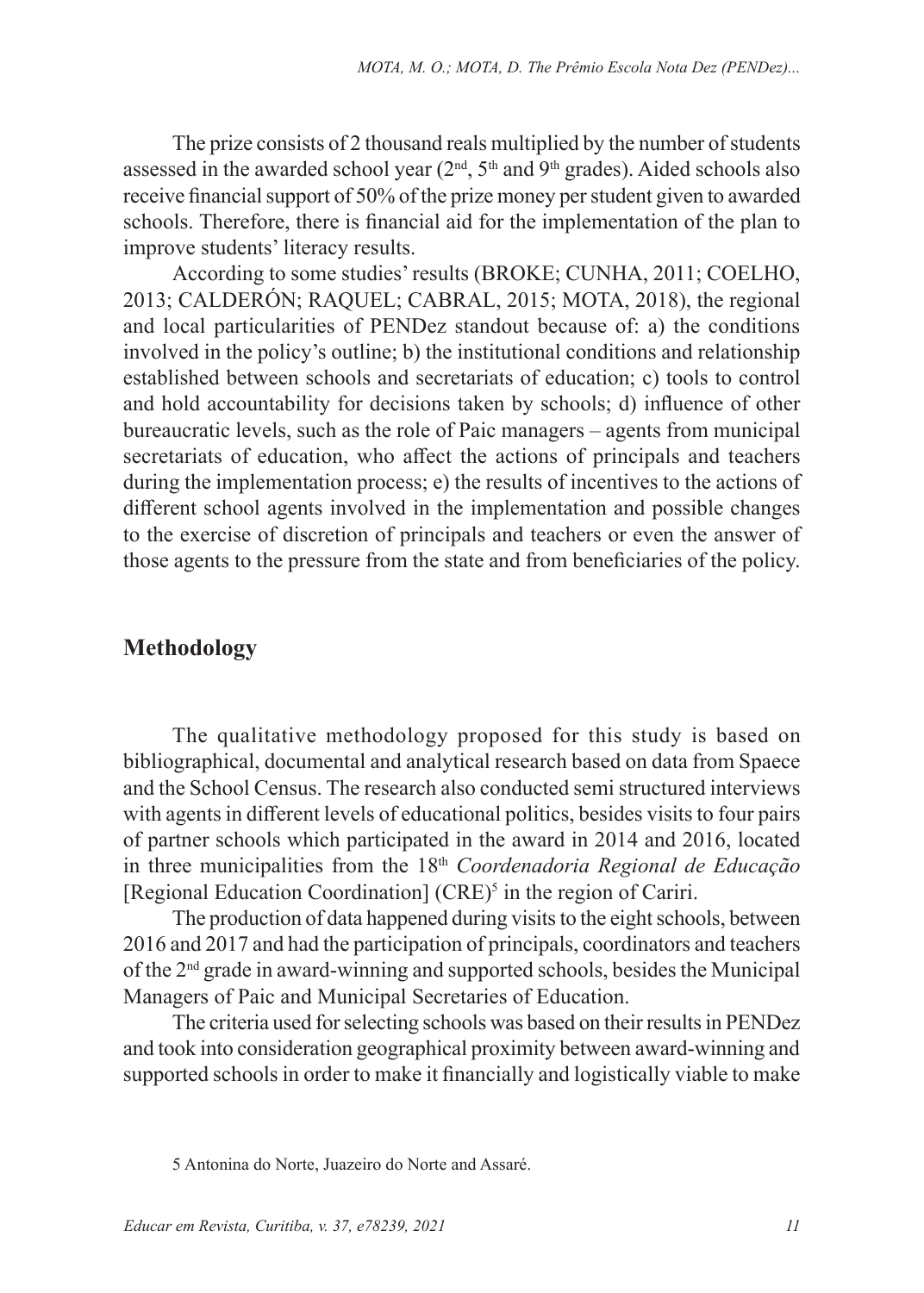The prize consists of 2 thousand reals multiplied by the number of students assessed in the awarded school year  $(2<sup>nd</sup>, 5<sup>th</sup>$  and  $9<sup>th</sup>$  grades). Aided schools also receive financial support of 50% of the prize money per student given to awarded schools. Therefore, there is financial aid for the implementation of the plan to improve students' literacy results.

According to some studies' results (BROKE; CUNHA, 2011; COELHO, 2013; CALDERÓN; RAQUEL; CABRAL, 2015; MOTA, 2018), the regional and local particularities of PENDez standout because of: a) the conditions involved in the policy's outline; b) the institutional conditions and relationship established between schools and secretariats of education; c) tools to control and hold accountability for decisions taken by schools; d) influence of other bureaucratic levels, such as the role of Paic managers – agents from municipal secretariats of education, who affect the actions of principals and teachers during the implementation process; e) the results of incentives to the actions of different school agents involved in the implementation and possible changes to the exercise of discretion of principals and teachers or even the answer of those agents to the pressure from the state and from beneficiaries of the policy.

#### **Methodology**

The qualitative methodology proposed for this study is based on bibliographical, documental and analytical research based on data from Spaece and the School Census. The research also conducted semi structured interviews with agents in different levels of educational politics, besides visits to four pairs of partner schools which participated in the award in 2014 and 2016, located in three municipalities from the 18th *Coordenadoria Regional de Educação* [Regional Education Coordination] (CRE)<sup>5</sup> in the region of Cariri.

The production of data happened during visits to the eight schools, between 2016 and 2017 and had the participation of principals, coordinators and teachers of the 2nd grade in award-winning and supported schools, besides the Municipal Managers of Paic and Municipal Secretaries of Education.

The criteria used for selecting schools was based on their results in PENDez and took into consideration geographical proximity between award-winning and supported schools in order to make it financially and logistically viable to make

<sup>5</sup> Antonina do Norte, Juazeiro do Norte and Assaré.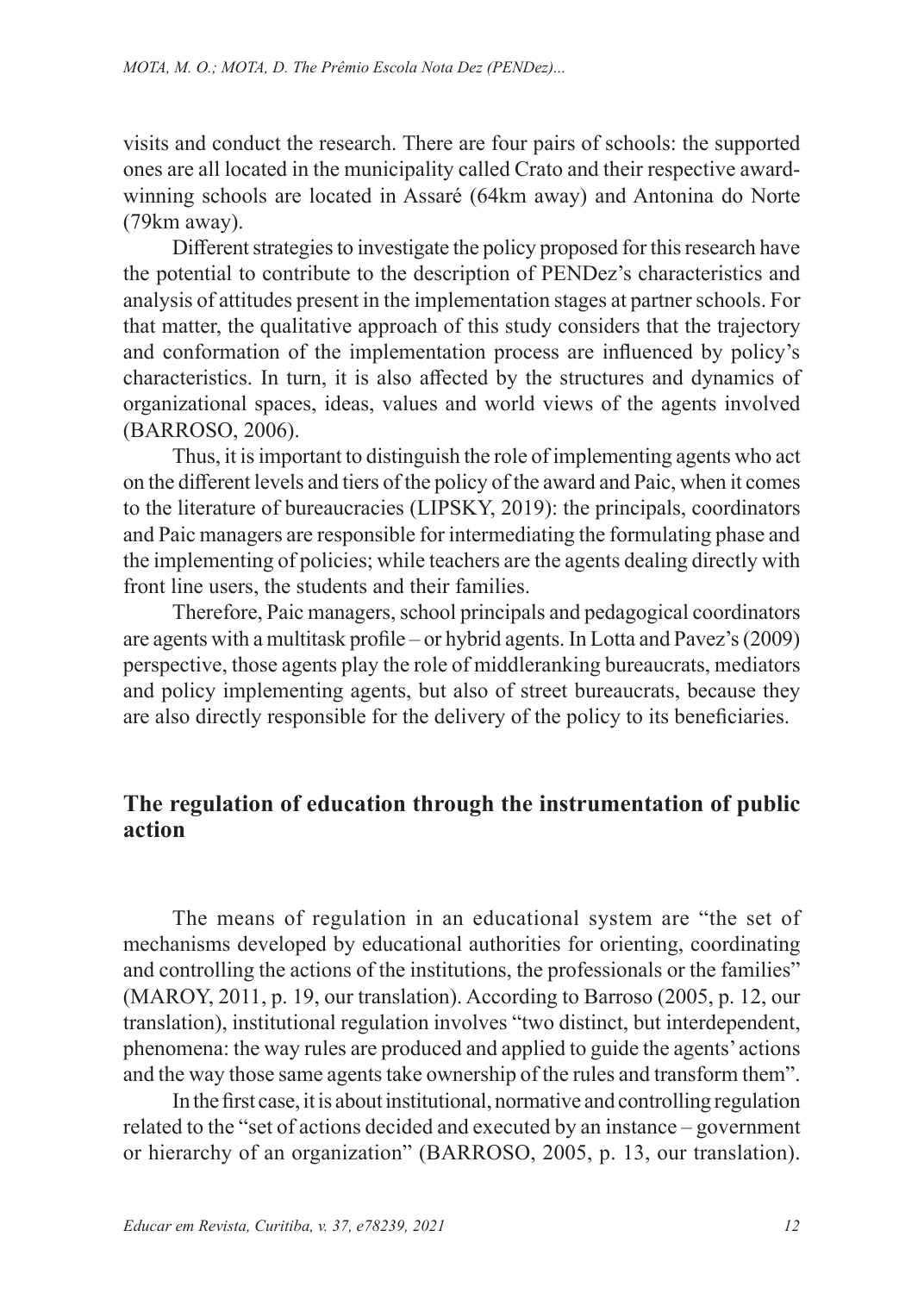visits and conduct the research. There are four pairs of schools: the supported ones are all located in the municipality called Crato and their respective awardwinning schools are located in Assaré (64km away) and Antonina do Norte (79km away).

Different strategies to investigate the policy proposed for this research have the potential to contribute to the description of PENDez's characteristics and analysis of attitudes present in the implementation stages at partner schools. For that matter, the qualitative approach of this study considers that the trajectory and conformation of the implementation process are influenced by policy's characteristics. In turn, it is also affected by the structures and dynamics of organizational spaces, ideas, values and world views of the agents involved (BARROSO, 2006).

Thus, it is important to distinguish the role of implementing agents who act on the different levels and tiers of the policy of the award and Paic, when it comes to the literature of bureaucracies (LIPSKY, 2019): the principals, coordinators and Paic managers are responsible for intermediating the formulating phase and the implementing of policies; while teachers are the agents dealing directly with front line users, the students and their families.

Therefore, Paic managers, school principals and pedagogical coordinators are agents with a multitask profile – or hybrid agents. In Lotta and Pavez's (2009) perspective, those agents play the role of middleranking bureaucrats, mediators and policy implementing agents, but also of street bureaucrats, because they are also directly responsible for the delivery of the policy to its beneficiaries.

### **The regulation of education through the instrumentation of public action**

The means of regulation in an educational system are "the set of mechanisms developed by educational authorities for orienting, coordinating and controlling the actions of the institutions, the professionals or the families" (MAROY, 2011, p. 19, our translation). According to Barroso (2005, p. 12, our translation), institutional regulation involves "two distinct, but interdependent, phenomena: the way rules are produced and applied to guide the agents' actions and the way those same agents take ownership of the rules and transform them".

In the first case, it is about institutional, normative and controlling regulation related to the "set of actions decided and executed by an instance – government or hierarchy of an organization" (BARROSO, 2005, p. 13, our translation).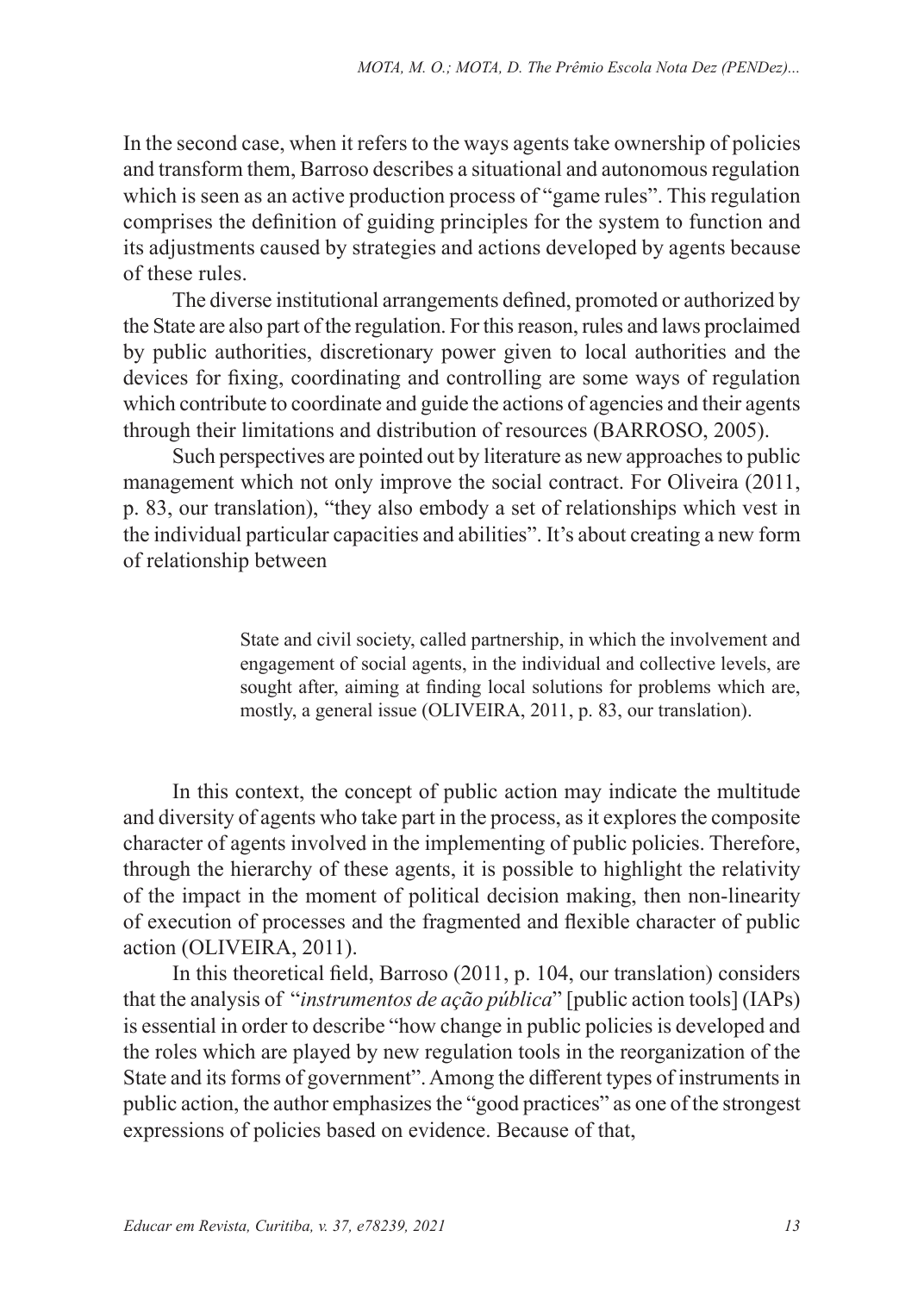In the second case, when it refers to the ways agents take ownership of policies and transform them, Barroso describes a situational and autonomous regulation which is seen as an active production process of "game rules". This regulation comprises the definition of guiding principles for the system to function and its adjustments caused by strategies and actions developed by agents because of these rules.

The diverse institutional arrangements defined, promoted or authorized by the State are also part of the regulation. For this reason, rules and laws proclaimed by public authorities, discretionary power given to local authorities and the devices for fixing, coordinating and controlling are some ways of regulation which contribute to coordinate and guide the actions of agencies and their agents through their limitations and distribution of resources (BARROSO, 2005).

Such perspectives are pointed out by literature as new approaches to public management which not only improve the social contract. For Oliveira (2011, p. 83, our translation), "they also embody a set of relationships which vest in the individual particular capacities and abilities". It's about creating a new form of relationship between

> State and civil society, called partnership, in which the involvement and engagement of social agents, in the individual and collective levels, are sought after, aiming at finding local solutions for problems which are, mostly, a general issue (OLIVEIRA, 2011, p. 83, our translation).

In this context, the concept of public action may indicate the multitude and diversity of agents who take part in the process, as it explores the composite character of agents involved in the implementing of public policies. Therefore, through the hierarchy of these agents, it is possible to highlight the relativity of the impact in the moment of political decision making, then non-linearity of execution of processes and the fragmented and flexible character of public action (OLIVEIRA, 2011).

In this theoretical field, Barroso (2011, p. 104, our translation) considers that the analysis of "*instrumentos de ação pública*" [public action tools] (IAPs) is essential in order to describe "how change in public policies is developed and the roles which are played by new regulation tools in the reorganization of the State and its forms of government". Among the different types of instruments in public action, the author emphasizes the "good practices" as one of the strongest expressions of policies based on evidence. Because of that,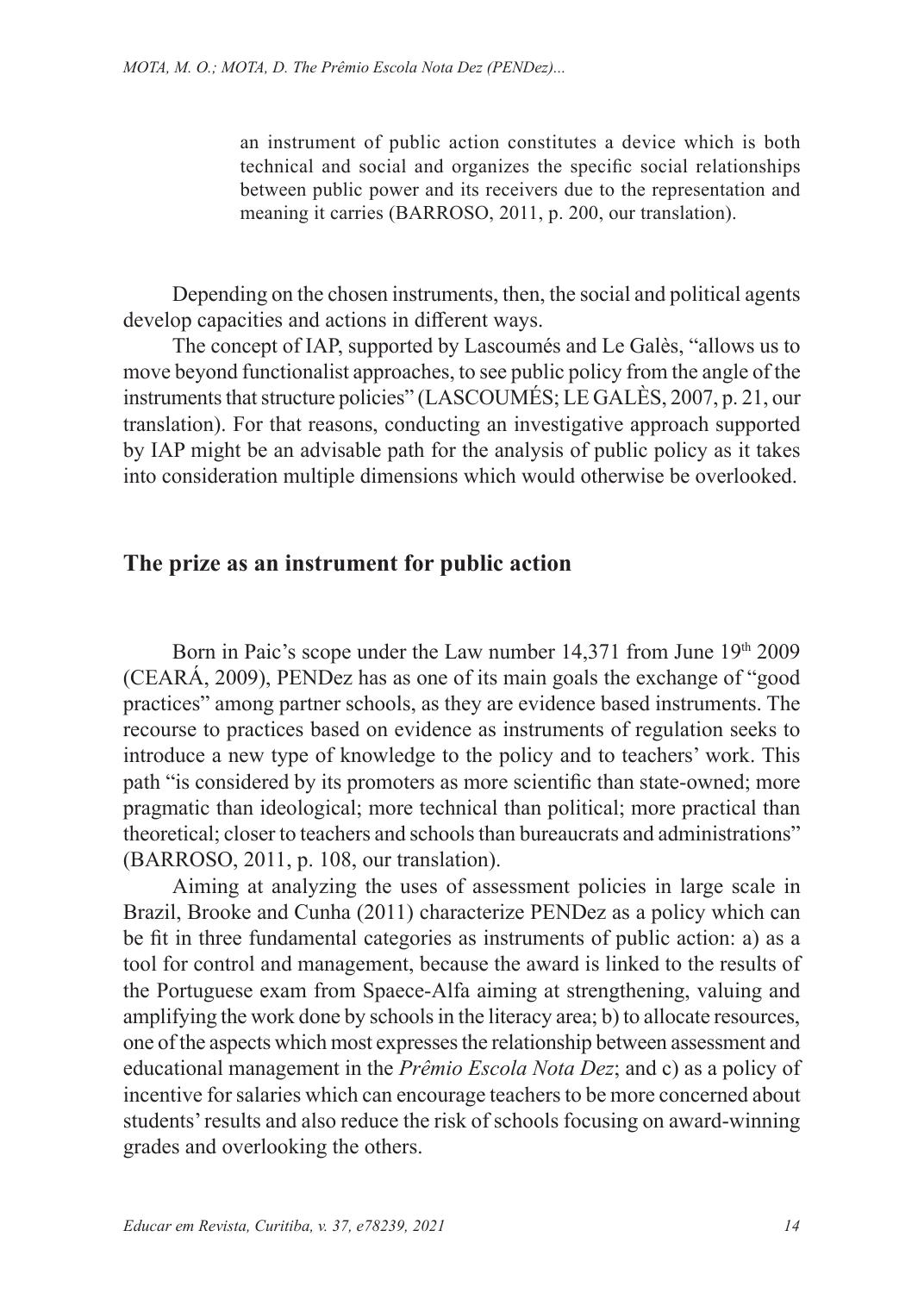an instrument of public action constitutes a device which is both technical and social and organizes the specific social relationships between public power and its receivers due to the representation and meaning it carries (BARROSO, 2011, p. 200, our translation).

Depending on the chosen instruments, then, the social and political agents develop capacities and actions in different ways.

The concept of IAP, supported by Lascoumés and Le Galès, "allows us to move beyond functionalist approaches, to see public policy from the angle of the instruments that structure policies" (LASCOUMÉS; LE GALÈS, 2007, p. 21, our translation). For that reasons, conducting an investigative approach supported by IAP might be an advisable path for the analysis of public policy as it takes into consideration multiple dimensions which would otherwise be overlooked.

#### **The prize as an instrument for public action**

Born in Paic's scope under the Law number 14,371 from June 19th 2009 (CEARÁ, 2009), PENDez has as one of its main goals the exchange of "good practices" among partner schools, as they are evidence based instruments. The recourse to practices based on evidence as instruments of regulation seeks to introduce a new type of knowledge to the policy and to teachers' work. This path "is considered by its promoters as more scientific than state-owned; more pragmatic than ideological; more technical than political; more practical than theoretical; closer to teachers and schools than bureaucrats and administrations" (BARROSO, 2011, p. 108, our translation).

Aiming at analyzing the uses of assessment policies in large scale in Brazil, Brooke and Cunha (2011) characterize PENDez as a policy which can be fit in three fundamental categories as instruments of public action: a) as a tool for control and management, because the award is linked to the results of the Portuguese exam from Spaece-Alfa aiming at strengthening, valuing and amplifying the work done by schools in the literacy area; b) to allocate resources, one of the aspects which most expresses the relationship between assessment and educational management in the *Prêmio Escola Nota Dez*; and c) as a policy of incentive for salaries which can encourage teachers to be more concerned about students' results and also reduce the risk of schools focusing on award-winning grades and overlooking the others.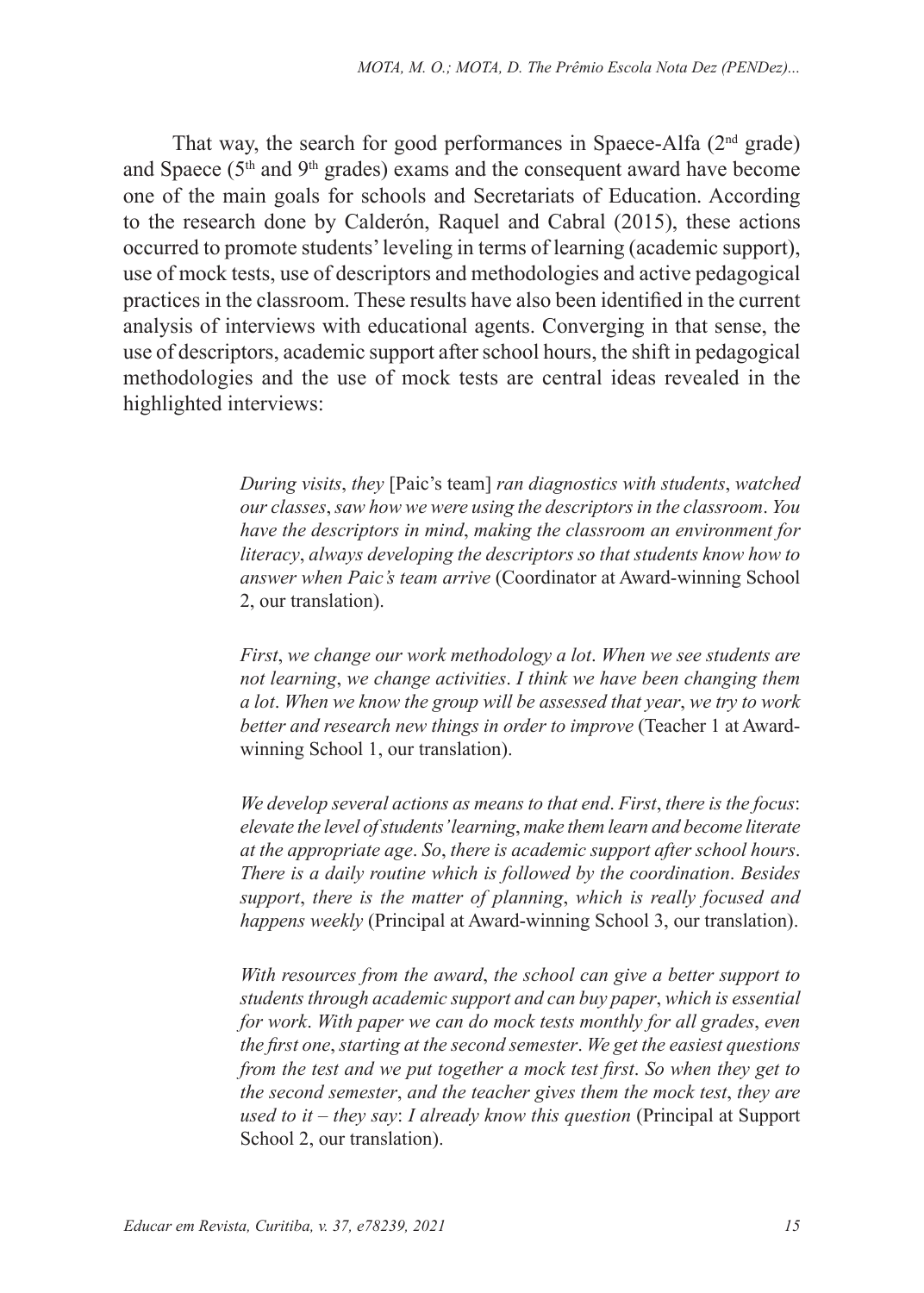That way, the search for good performances in Spaece-Alfa  $(2<sup>nd</sup>$  grade) and Spaece  $(5<sup>th</sup>$  and  $9<sup>th</sup>$  grades) exams and the consequent award have become one of the main goals for schools and Secretariats of Education. According to the research done by Calderón, Raquel and Cabral (2015), these actions occurred to promote students' leveling in terms of learning (academic support), use of mock tests, use of descriptors and methodologies and active pedagogical practices in the classroom. These results have also been identified in the current analysis of interviews with educational agents. Converging in that sense, the use of descriptors, academic support after school hours, the shift in pedagogical methodologies and the use of mock tests are central ideas revealed in the highlighted interviews:

> *During visits*, *they* [Paic's team] *ran diagnostics with students*, *watched our classes*, *saw how we were using the descriptors in the classroom*. *You have the descriptors in mind*, *making the classroom an environment for literacy*, *always developing the descriptors so that students know how to answer when Paic's team arrive* (Coordinator at Award-winning School 2, our translation).

> *First*, *we change our work methodology a lot*. *When we see students are not learning*, *we change activities*. *I think we have been changing them a lot*. *When we know the group will be assessed that year*, *we try to work better and research new things in order to improve* (Teacher 1 at Awardwinning School 1, our translation).

> *We develop several actions as means to that end*. *First*, *there is the focus*: *elevate the level of students' learning*, *make them learn and become literate at the appropriate age*. *So*, *there is academic support after school hours*. *There is a daily routine which is followed by the coordination*. *Besides support*, *there is the matter of planning*, *which is really focused and happens weekly* (Principal at Award-winning School 3, our translation).

> *With resources from the award*, *the school can give a better support to students through academic support and can buy paper*, *which is essential for work*. *With paper we can do mock tests monthly for all grades*, *even the first one*, *starting at the second semester*. *We get the easiest questions from the test and we put together a mock test first*. *So when they get to the second semester*, *and the teacher gives them the mock test*, *they are used to it – they say*: *I already know this question* (Principal at Support School 2, our translation).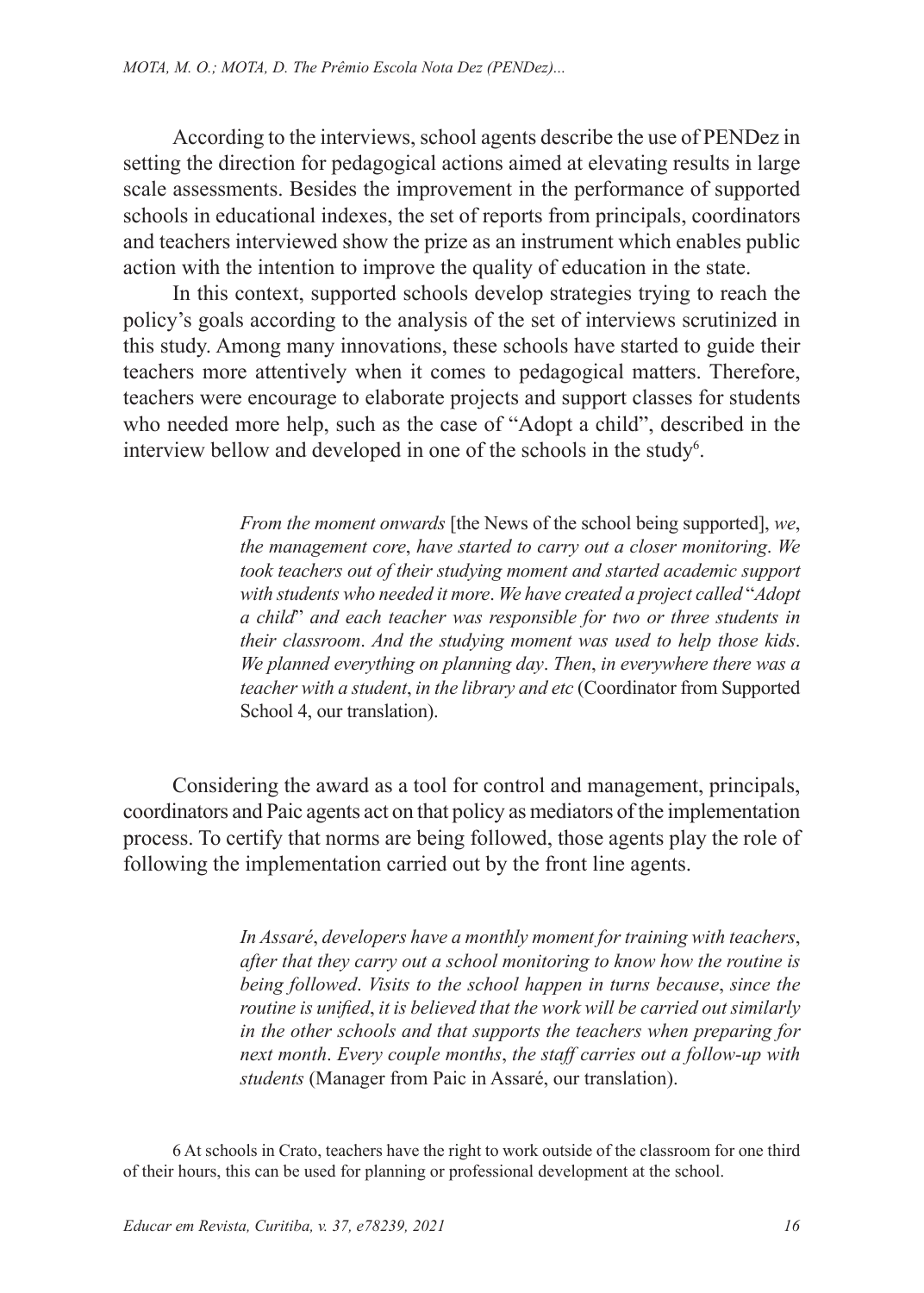According to the interviews, school agents describe the use of PENDez in setting the direction for pedagogical actions aimed at elevating results in large scale assessments. Besides the improvement in the performance of supported schools in educational indexes, the set of reports from principals, coordinators and teachers interviewed show the prize as an instrument which enables public action with the intention to improve the quality of education in the state.

In this context, supported schools develop strategies trying to reach the policy's goals according to the analysis of the set of interviews scrutinized in this study. Among many innovations, these schools have started to guide their teachers more attentively when it comes to pedagogical matters. Therefore, teachers were encourage to elaborate projects and support classes for students who needed more help, such as the case of "Adopt a child", described in the interview bellow and developed in one of the schools in the study<sup>6</sup>.

> *From the moment onwards* [the News of the school being supported], *we*, *the management core*, *have started to carry out a closer monitoring*. *We took teachers out of their studying moment and started academic support with students who needed it more*. *We have created a project called* "*Adopt a child*" *and each teacher was responsible for two or three students in their classroom*. *And the studying moment was used to help those kids*. *We planned everything on planning day*. *Then*, *in everywhere there was a teacher with a student*, *in the library and etc* (Coordinator from Supported School 4, our translation).

Considering the award as a tool for control and management, principals, coordinators and Paic agents act on that policy as mediators of the implementation process. To certify that norms are being followed, those agents play the role of following the implementation carried out by the front line agents.

> *In Assaré*, *developers have a monthly moment for training with teachers*, *after that they carry out a school monitoring to know how the routine is being followed*. *Visits to the school happen in turns because*, *since the routine is unified*, *it is believed that the work will be carried out similarly in the other schools and that supports the teachers when preparing for next month*. *Every couple months*, *the staff carries out a follow-up with students* (Manager from Paic in Assaré, our translation).

6 At schools in Crato, teachers have the right to work outside of the classroom for one third of their hours, this can be used for planning or professional development at the school.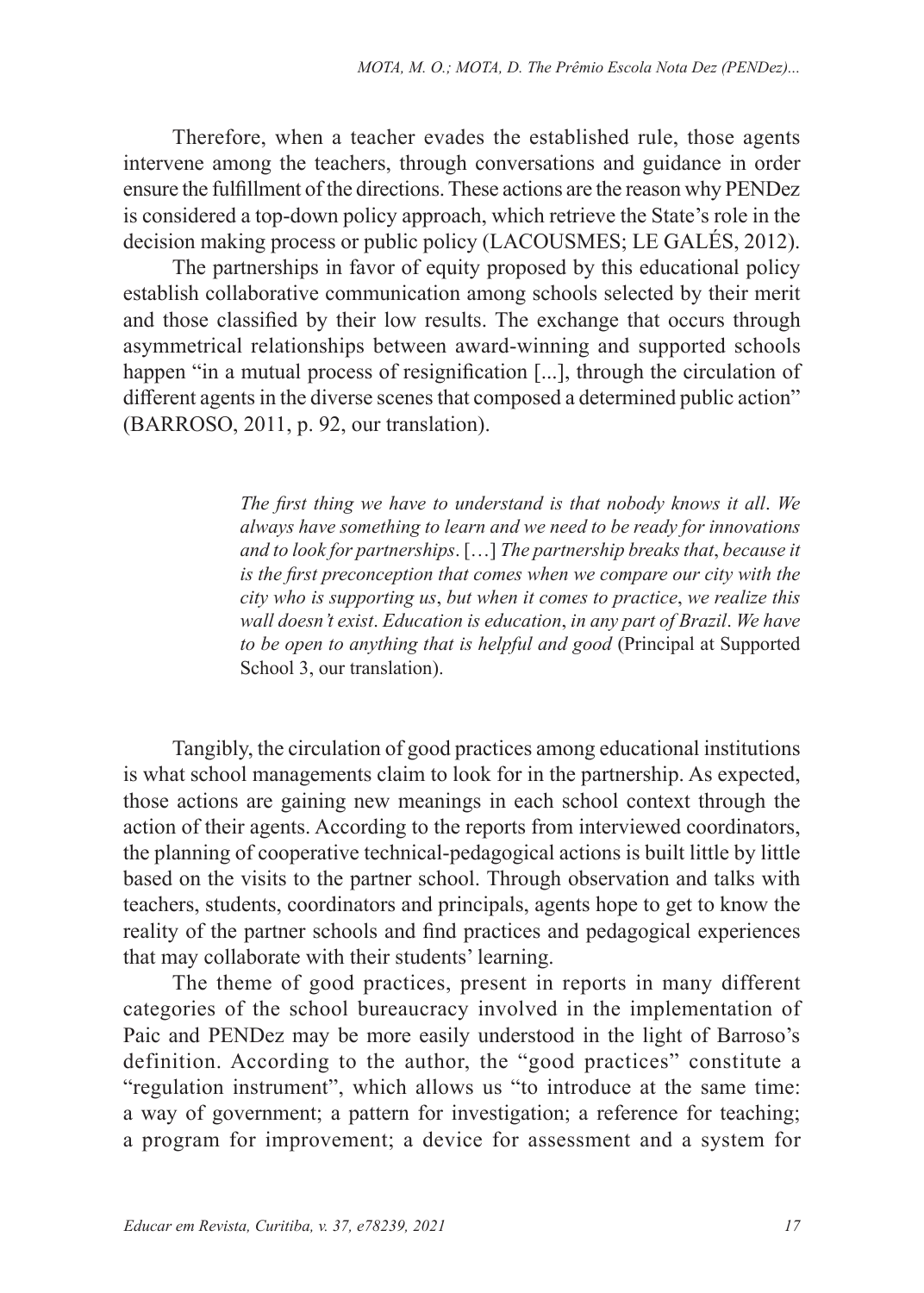Therefore, when a teacher evades the established rule, those agents intervene among the teachers, through conversations and guidance in order ensure the fulfillment of the directions. These actions are the reason why PENDez is considered a top-down policy approach, which retrieve the State's role in the decision making process or public policy (LACOUSMES; LE GALÉS, 2012).

The partnerships in favor of equity proposed by this educational policy establish collaborative communication among schools selected by their merit and those classified by their low results. The exchange that occurs through asymmetrical relationships between award-winning and supported schools happen "in a mutual process of resignification [...], through the circulation of different agents in the diverse scenes that composed a determined public action" (BARROSO, 2011, p. 92, our translation).

> *The first thing we have to understand is that nobody knows it all*. *We always have something to learn and we need to be ready for innovations and to look for partnerships*. […] *The partnership breaks that*, *because it is the first preconception that comes when we compare our city with the city who is supporting us*, *but when it comes to practice*, *we realize this wall doesn't exist*. *Education is education*, *in any part of Brazil*. *We have to be open to anything that is helpful and good* (Principal at Supported School 3, our translation).

Tangibly, the circulation of good practices among educational institutions is what school managements claim to look for in the partnership. As expected, those actions are gaining new meanings in each school context through the action of their agents. According to the reports from interviewed coordinators, the planning of cooperative technical-pedagogical actions is built little by little based on the visits to the partner school. Through observation and talks with teachers, students, coordinators and principals, agents hope to get to know the reality of the partner schools and find practices and pedagogical experiences that may collaborate with their students' learning.

The theme of good practices, present in reports in many different categories of the school bureaucracy involved in the implementation of Paic and PENDez may be more easily understood in the light of Barroso's definition. According to the author, the "good practices" constitute a "regulation instrument", which allows us "to introduce at the same time: a way of government; a pattern for investigation; a reference for teaching; a program for improvement; a device for assessment and a system for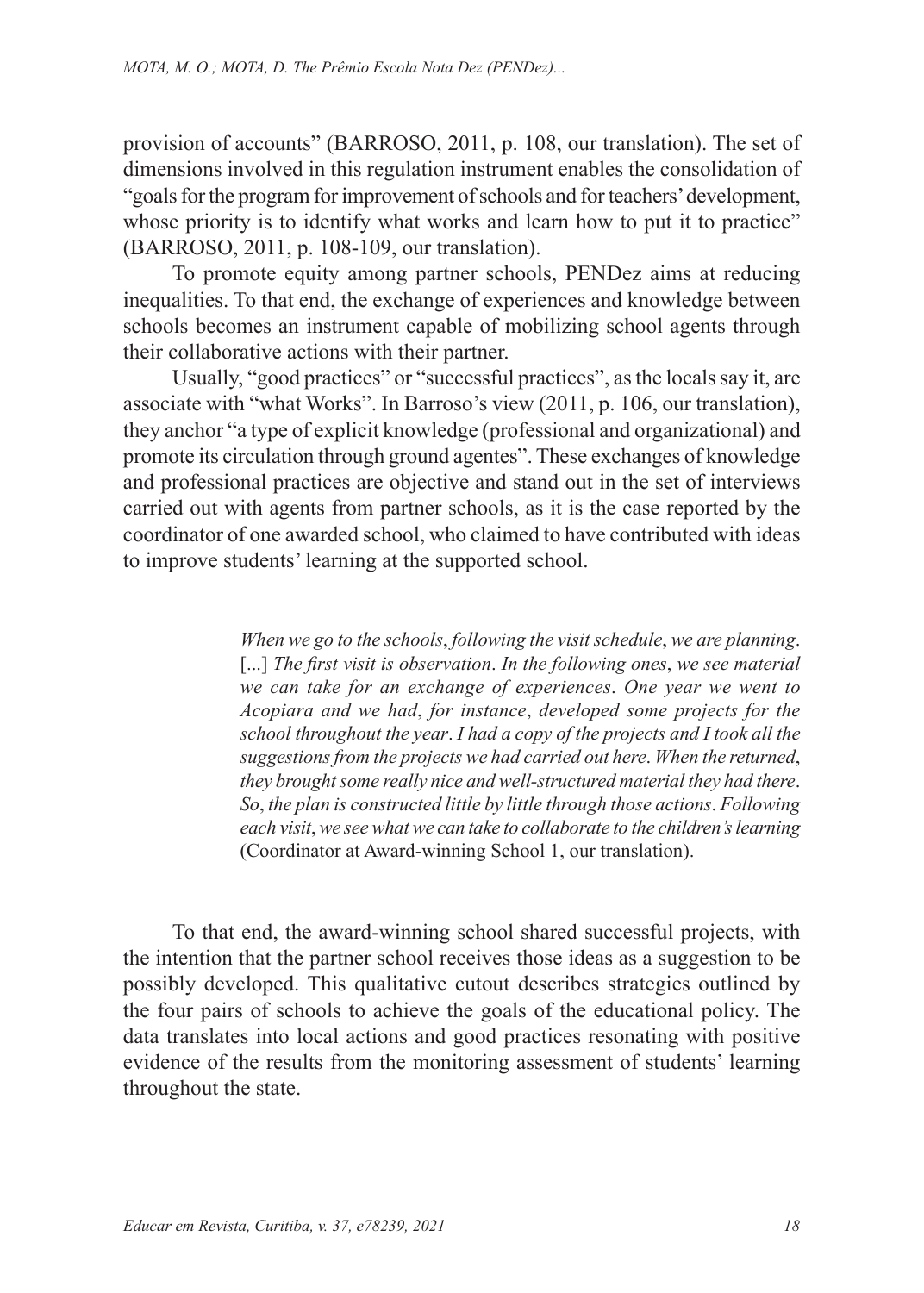provision of accounts" (BARROSO, 2011, p. 108, our translation). The set of dimensions involved in this regulation instrument enables the consolidation of "goals for the program for improvement of schools and for teachers' development, whose priority is to identify what works and learn how to put it to practice" (BARROSO, 2011, p. 108-109, our translation).

To promote equity among partner schools, PENDez aims at reducing inequalities. To that end, the exchange of experiences and knowledge between schools becomes an instrument capable of mobilizing school agents through their collaborative actions with their partner.

Usually, "good practices" or "successful practices", as the locals say it, are associate with "what Works". In Barroso's view (2011, p. 106, our translation), they anchor "a type of explicit knowledge (professional and organizational) and promote its circulation through ground agentes". These exchanges of knowledge and professional practices are objective and stand out in the set of interviews carried out with agents from partner schools, as it is the case reported by the coordinator of one awarded school, who claimed to have contributed with ideas to improve students' learning at the supported school.

> *When we go to the schools*, *following the visit schedule*, *we are planning*. [...] *The first visit is observation*. *In the following ones*, *we see material we can take for an exchange of experiences*. *One year we went to Acopiara and we had*, *for instance*, *developed some projects for the school throughout the year*. *I had a copy of the projects and I took all the suggestions from the projects we had carried out here*. *When the returned*, *they brought some really nice and well-structured material they had there*. *So*, *the plan is constructed little by little through those actions*. *Following each visit*, *we see what we can take to collaborate to the children's learning* (Coordinator at Award-winning School 1, our translation).

To that end, the award-winning school shared successful projects, with the intention that the partner school receives those ideas as a suggestion to be possibly developed. This qualitative cutout describes strategies outlined by the four pairs of schools to achieve the goals of the educational policy. The data translates into local actions and good practices resonating with positive evidence of the results from the monitoring assessment of students' learning throughout the state.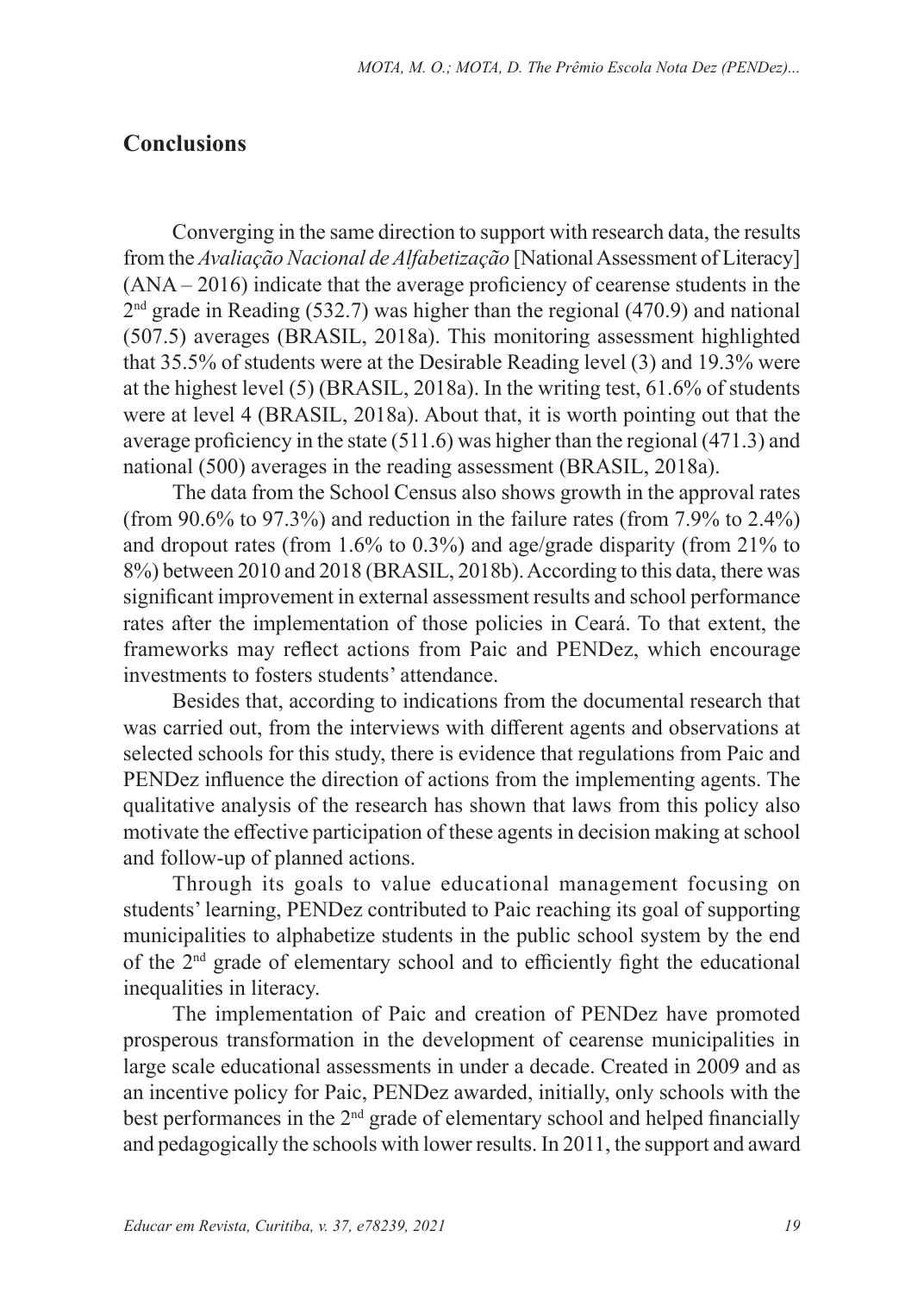#### **Conclusions**

Converging in the same direction to support with research data, the results from the *Avaliação Nacional de Alfabetização* [National Assessment of Literacy] (ANA – 2016) indicate that the average proficiency of cearense students in the  $2<sup>nd</sup>$  grade in Reading (532.7) was higher than the regional (470.9) and national (507.5) averages (BRASIL, 2018a). This monitoring assessment highlighted that 35.5% of students were at the Desirable Reading level (3) and 19.3% were at the highest level (5) (BRASIL, 2018a). In the writing test, 61.6% of students were at level 4 (BRASIL, 2018a). About that, it is worth pointing out that the average proficiency in the state (511.6) was higher than the regional (471.3) and national (500) averages in the reading assessment (BRASIL, 2018a).

The data from the School Census also shows growth in the approval rates (from 90.6% to 97.3%) and reduction in the failure rates (from 7.9% to 2.4%) and dropout rates (from 1.6% to 0.3%) and age/grade disparity (from 21% to 8%) between 2010 and 2018 (BRASIL, 2018b). According to this data, there was significant improvement in external assessment results and school performance rates after the implementation of those policies in Ceará. To that extent, the frameworks may reflect actions from Paic and PENDez, which encourage investments to fosters students' attendance.

Besides that, according to indications from the documental research that was carried out, from the interviews with different agents and observations at selected schools for this study, there is evidence that regulations from Paic and PENDez influence the direction of actions from the implementing agents. The qualitative analysis of the research has shown that laws from this policy also motivate the effective participation of these agents in decision making at school and follow-up of planned actions.

Through its goals to value educational management focusing on students' learning, PENDez contributed to Paic reaching its goal of supporting municipalities to alphabetize students in the public school system by the end of the 2nd grade of elementary school and to efficiently fight the educational inequalities in literacy.

The implementation of Paic and creation of PENDez have promoted prosperous transformation in the development of cearense municipalities in large scale educational assessments in under a decade. Created in 2009 and as an incentive policy for Paic, PENDez awarded, initially, only schools with the best performances in the 2<sup>nd</sup> grade of elementary school and helped financially and pedagogically the schools with lower results. In 2011, the support and award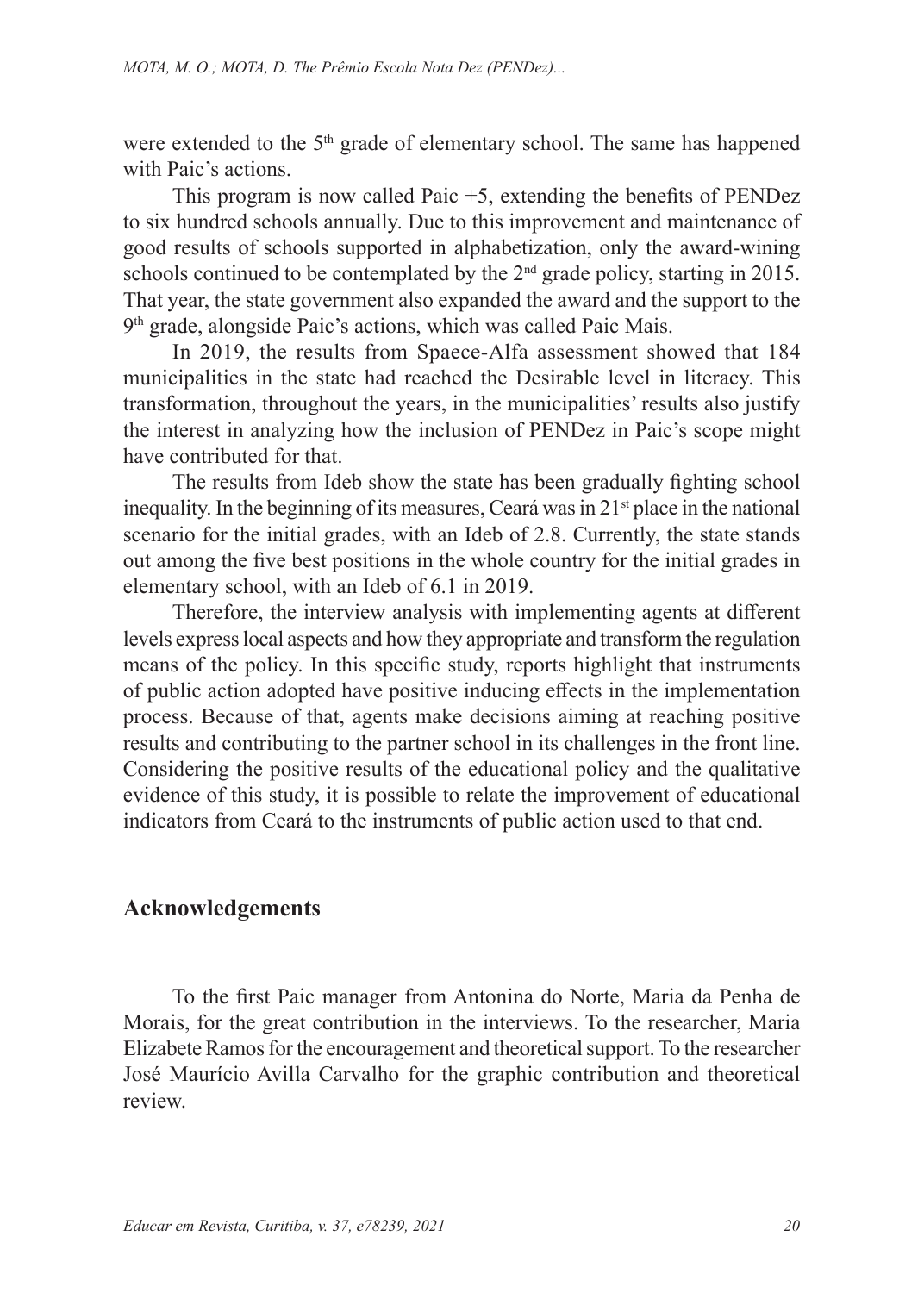were extended to the  $5<sup>th</sup>$  grade of elementary school. The same has happened with Paic's actions.

This program is now called Paic +5, extending the benefits of PENDez to six hundred schools annually. Due to this improvement and maintenance of good results of schools supported in alphabetization, only the award-wining schools continued to be contemplated by the  $2<sup>nd</sup>$  grade policy, starting in 2015. That year, the state government also expanded the award and the support to the 9<sup>th</sup> grade, alongside Paic's actions, which was called Paic Mais.

In 2019, the results from Spaece-Alfa assessment showed that 184 municipalities in the state had reached the Desirable level in literacy. This transformation, throughout the years, in the municipalities' results also justify the interest in analyzing how the inclusion of PENDez in Paic's scope might have contributed for that.

The results from Ideb show the state has been gradually fighting school inequality. In the beginning of its measures, Ceará was in  $21<sup>st</sup>$  place in the national scenario for the initial grades, with an Ideb of 2.8. Currently, the state stands out among the five best positions in the whole country for the initial grades in elementary school, with an Ideb of 6.1 in 2019.

Therefore, the interview analysis with implementing agents at different levels express local aspects and how they appropriate and transform the regulation means of the policy. In this specific study, reports highlight that instruments of public action adopted have positive inducing effects in the implementation process. Because of that, agents make decisions aiming at reaching positive results and contributing to the partner school in its challenges in the front line. Considering the positive results of the educational policy and the qualitative evidence of this study, it is possible to relate the improvement of educational indicators from Ceará to the instruments of public action used to that end.

#### **Acknowledgements**

To the first Paic manager from Antonina do Norte, Maria da Penha de Morais, for the great contribution in the interviews. To the researcher, Maria Elizabete Ramos for the encouragement and theoretical support. To the researcher José Maurício Avilla Carvalho for the graphic contribution and theoretical review.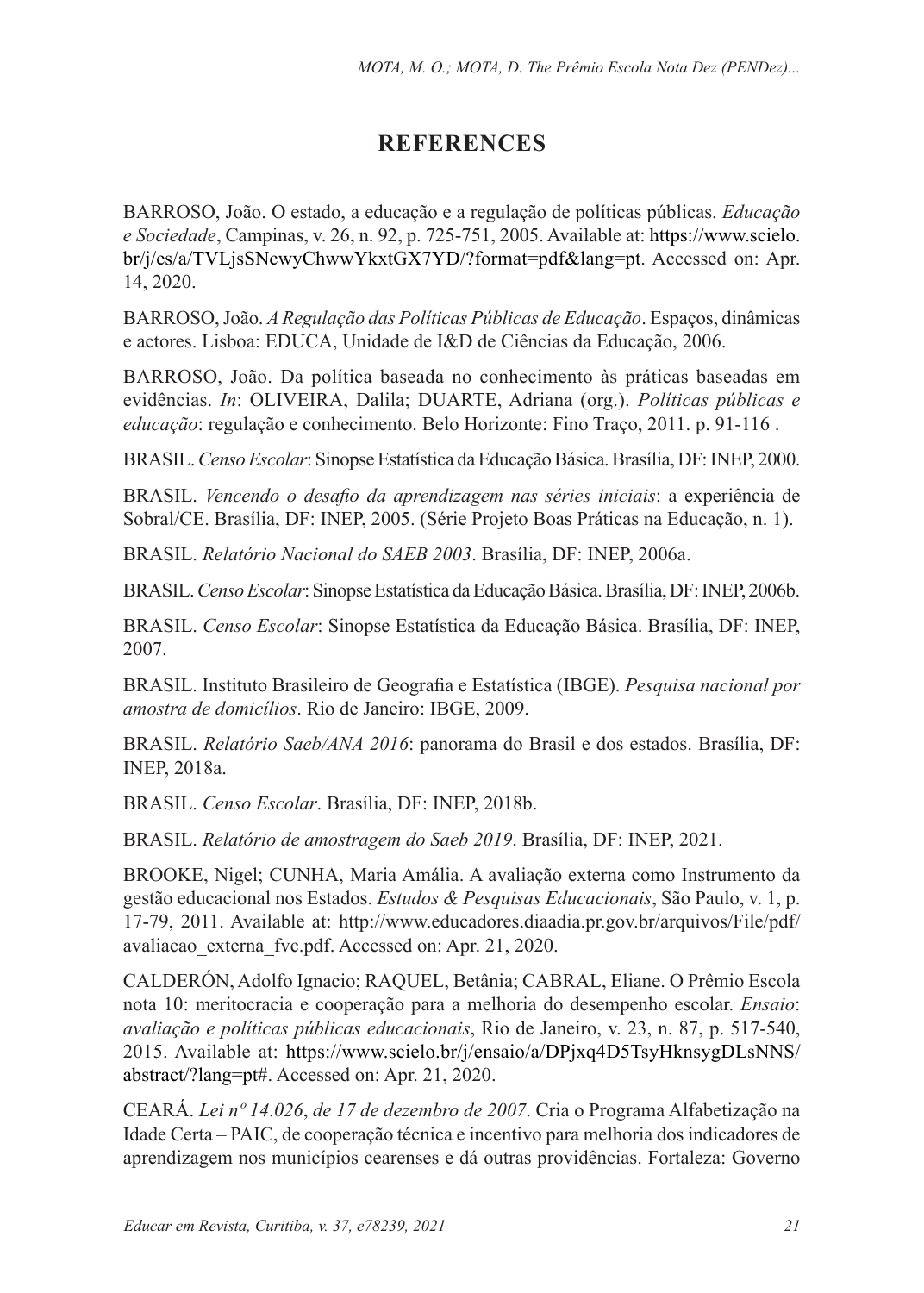## **REFERENCES**

BARROSO, João. O estado, a educação e a regulação de políticas públicas. *Educação e Sociedade*, Campinas, v. 26, n. 92, p. 725-751, 2005. Available at: https://www.scielo. br/j/es/a/TVLjsSNcwyChwwYkxtGX7YD/?format=pdf&lang=pt. Accessed on: Apr. 14, 2020.

BARROSO, João. *A Regulação das Políticas Públicas de Educação*. Espaços, dinâmicas e actores. Lisboa: EDUCA, Unidade de I&D de Ciências da Educação, 2006.

BARROSO, João. Da política baseada no conhecimento às práticas baseadas em evidências. *In*: OLIVEIRA, Dalila; DUARTE, Adriana (org.). *Políticas públicas e educação*: regulação e conhecimento. Belo Horizonte: Fino Traço, 2011. p. 91-116 .

BRASIL. *Censo Escolar*: Sinopse Estatística da Educação Básica. Brasília, DF: INEP, 2000.

BRASIL. *Vencendo o desafio da aprendizagem nas séries iniciais*: a experiência de Sobral/CE. Brasília, DF: INEP, 2005. (Série Projeto Boas Práticas na Educação, n. 1).

BRASIL. *Relatório Nacional do SAEB 2003*. Brasília, DF: INEP, 2006a.

BRASIL. *Censo Escolar*:Sinopse Estatística da Educação Básica. Brasília, DF: INEP, 2006b.

BRASIL. *Censo Escolar*: Sinopse Estatística da Educação Básica. Brasília, DF: INEP, 2007.

BRASIL. Instituto Brasileiro de Geografia e Estatística (IBGE). *Pesquisa nacional por amostra de domicílios*. Rio de Janeiro: IBGE, 2009.

BRASIL. *Relatório Saeb/ANA 2016*: panorama do Brasil e dos estados. Brasília, DF: INEP, 2018a.

BRASIL. *Censo Escolar*. Brasília, DF: INEP, 2018b.

BRASIL. *Relatório de amostragem do Saeb 2019*. Brasília, DF: INEP, 2021.

BROOKE, Nigel; CUNHA, Maria Amália. A avaliação externa como Instrumento da gestão educacional nos Estados. *Estudos & Pesquisas Educacionais*, São Paulo, v. 1, p. 17-79, 2011. Available at: http://www.educadores.diaadia.pr.gov.br/arquivos/File/pdf/ avaliacao externa fvc.pdf. Accessed on: Apr. 21, 2020.

CALDERÓN, Adolfo Ignacio; RAQUEL, Betânia; CABRAL, Eliane. O Prêmio Escola nota 10: meritocracia e cooperação para a melhoria do desempenho escolar. *Ensaio*: *avaliação e políticas públicas educacionais*, Rio de Janeiro, v. 23, n. 87, p. 517-540, 2015. Available at: https://www.scielo.br/j/ensaio/a/DPjxq4D5TsyHknsygDLsNNS/ abstract/?lang=pt#. Accessed on: Apr. 21, 2020.

CEARÁ. *Lei nº 14*.*026*, *de 17 de dezembro de 2007*. Cria o Programa Alfabetização na Idade Certa – PAIC, de cooperação técnica e incentivo para melhoria dos indicadores de aprendizagem nos municípios cearenses e dá outras providências. Fortaleza: Governo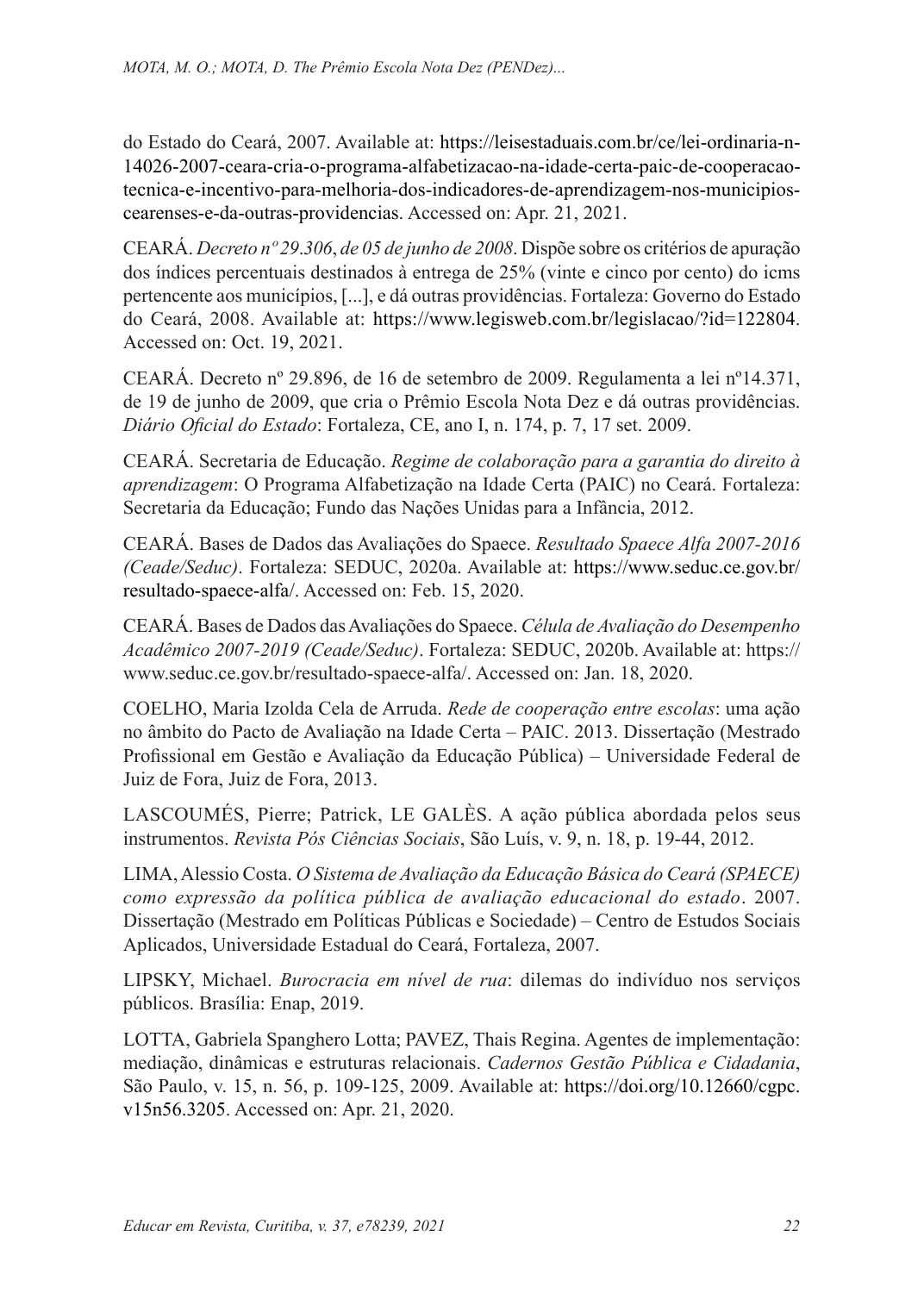do Estado do Ceará, 2007. Available at: https://leisestaduais.com.br/ce/lei-ordinaria-n-14026-2007-ceara-cria-o-programa-alfabetizacao-na-idade-certa-paic-de-cooperacaotecnica-e-incentivo-para-melhoria-dos-indicadores-de-aprendizagem-nos-municipioscearenses-e-da-outras-providencias. Accessed on: Apr. 21, 2021.

CEARÁ. *Decreto nº 29*.*306*, *de 05 de junho de 2008*. Dispõe sobre os critérios de apuração dos índices percentuais destinados à entrega de 25% (vinte e cinco por cento) do icms pertencente aos municípios, [...], e dá outras providências. Fortaleza: Governo do Estado do Ceará, 2008. Available at: https://www.legisweb.com.br/legislacao/?id=122804. Accessed on: Oct. 19, 2021.

CEARÁ. Decreto nº 29.896, de 16 de setembro de 2009. Regulamenta a lei nº14.371, de 19 de junho de 2009, que cria o Prêmio Escola Nota Dez e dá outras providências. *Diário Oficial do Estado*: Fortaleza, CE, ano I, n. 174, p. 7, 17 set. 2009.

CEARÁ. Secretaria de Educação. *Regime de colaboração para a garantia do direito à aprendizagem*: O Programa Alfabetização na Idade Certa (PAIC) no Ceará. Fortaleza: Secretaria da Educação; Fundo das Nações Unidas para a Infância, 2012.

CEARÁ. Bases de Dados das Avaliações do Spaece. *Resultado Spaece Alfa 2007-2016 (Ceade/Seduc)*. Fortaleza: SEDUC, 2020a. Available at: https://www.seduc.ce.gov.br/ resultado-spaece-alfa/. Accessed on: Feb. 15, 2020.

CEARÁ. Bases de Dados das Avaliações do Spaece. *Célula de Avaliação do Desempenho Acadêmico 2007-2019 (Ceade/Seduc)*. Fortaleza: SEDUC, 2020b. Available at: https:// www.seduc.ce.gov.br/resultado-spaece-alfa/. Accessed on: Jan. 18, 2020.

COELHO, Maria Izolda Cela de Arruda. *Rede de cooperação entre escolas*: uma ação no âmbito do Pacto de Avaliação na Idade Certa – PAIC. 2013. Dissertação (Mestrado Profissional em Gestão e Avaliação da Educação Pública) – Universidade Federal de Juiz de Fora, Juiz de Fora, 2013.

LASCOUMÉS, Pierre; Patrick, LE GALÈS. A ação pública abordada pelos seus instrumentos. *Revista Pós Ciências Sociais*, São Luís, v. 9, n. 18, p. 19-44, 2012.

LIMA, Alessio Costa. *O Sistema de Avaliação da Educação Básica do Ceará (SPAECE) como expressão da política pública de avaliação educacional do estado*. 2007. Dissertação (Mestrado em Políticas Públicas e Sociedade) – Centro de Estudos Sociais Aplicados, Universidade Estadual do Ceará, Fortaleza, 2007.

LIPSKY, Michael. *Burocracia em nível de rua*: dilemas do indivíduo nos serviços públicos. Brasília: Enap, 2019.

LOTTA, Gabriela Spanghero Lotta; PAVEZ, Thais Regina. Agentes de implementação: mediação, dinâmicas e estruturas relacionais. *Cadernos Gestão Pública e Cidadania*, São Paulo, v. 15, n. 56, p. 109-125, 2009. Available at: https://doi.org/10.12660/cgpc. v15n56.3205. Accessed on: Apr. 21, 2020.